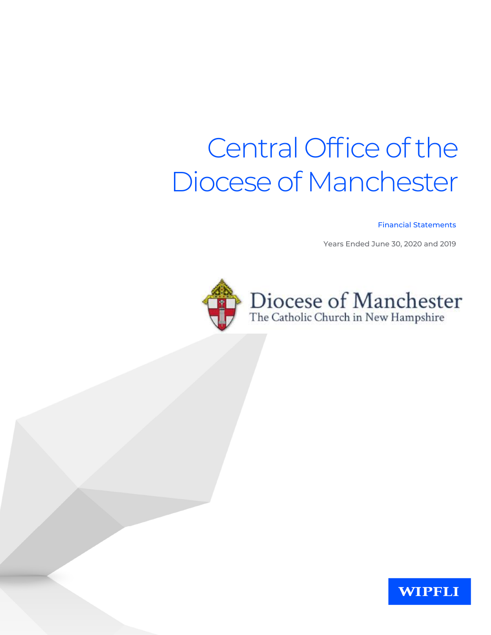# Central Office of the Diocese of Manchester

#### **Financial Statements**

Years Ended June 30, 2020 and 2019



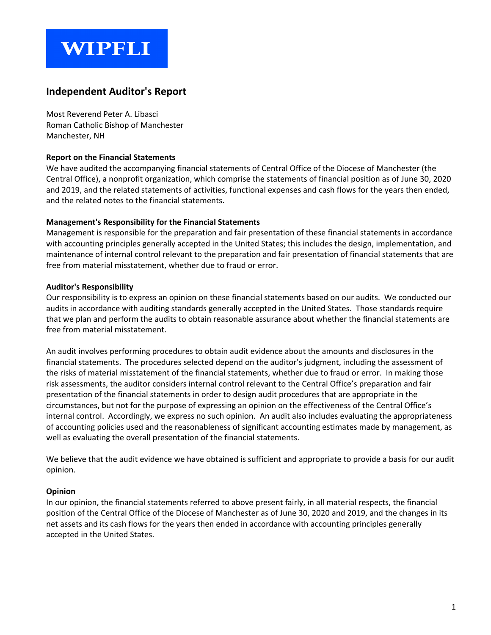## **WIPFLI**

### **Independent Auditor's Report**

Most Reverend Peter A. Libasci Roman Catholic Bishop of Manchester Manchester, NH

#### **Report on the Financial Statements**

We have audited the accompanying financial statements of Central Office of the Diocese of Manchester (the Central Office), a nonprofit organization, which comprise the statements of financial position as of June 30, 2020 and 2019, and the related statements of activities, functional expenses and cash flows for the years then ended, and the related notes to the financial statements.

#### **Management's Responsibility for the Financial Statements**

Management is responsible for the preparation and fair presentation of these financial statements in accordance with accounting principles generally accepted in the United States; this includes the design, implementation, and maintenance of internal control relevant to the preparation and fair presentation of financial statements that are free from material misstatement, whether due to fraud or error.

#### **Auditor's Responsibility**

Our responsibility is to express an opinion on these financial statements based on our audits. We conducted our audits in accordance with auditing standards generally accepted in the United States. Those standards require that we plan and perform the audits to obtain reasonable assurance about whether the financial statements are free from material misstatement.

An audit involves performing procedures to obtain audit evidence about the amounts and disclosures in the financial statements. The procedures selected depend on the auditor's judgment, including the assessment of the risks of material misstatement of the financial statements, whether due to fraud or error. In making those risk assessments, the auditor considers internal control relevant to the Central Office's preparation and fair presentation of the financial statements in order to design audit procedures that are appropriate in the circumstances, but not for the purpose of expressing an opinion on the effectiveness of the Central Office's internal control. Accordingly, we express no such opinion. An audit also includes evaluating the appropriateness of accounting policies used and the reasonableness of significant accounting estimates made by management, as well as evaluating the overall presentation of the financial statements.

We believe that the audit evidence we have obtained is sufficient and appropriate to provide a basis for our audit opinion.

#### **Opinion**

In our opinion, the financial statements referred to above present fairly, in all material respects, the financial position of the Central Office of the Diocese of Manchester as of June 30, 2020 and 2019, and the changes in its net assets and its cash flows for the years then ended in accordance with accounting principles generally accepted in the United States.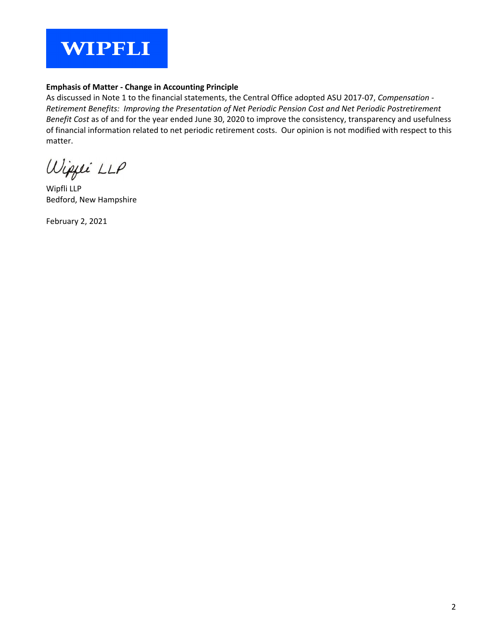

#### **Emphasis of Matter - Change in Accounting Principle**

As discussed in Note 1 to the financial statements, the Central Office adopted ASU 2017-07, *Compensation - Retirement Benefits: Improving the Presentation of Net Periodic Pension Cost and Net Periodic Postretirement Benefit Cost* as of and for the year ended June 30, 2020 to improve the consistency, transparency and usefulness of financial information related to net periodic retirement costs. Our opinion is not modified with respect to this matter.

Wippei LLP

Wipfli LLP Bedford, New Hampshire

February 2, 2021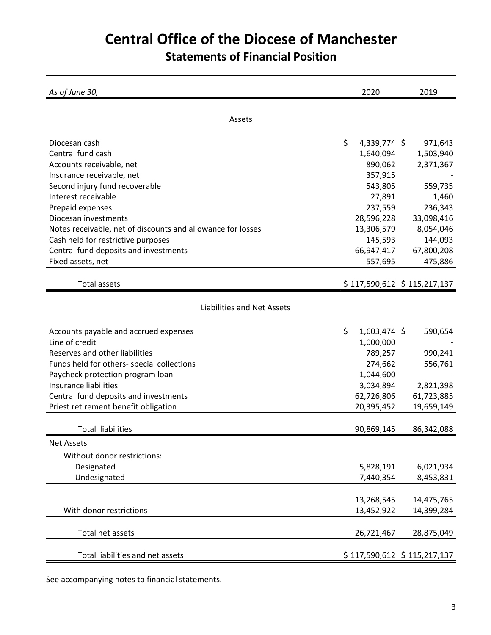### **Central Office of the Diocese of Manchester**

### **Statements of Financial Position**

| As of June 30,                                              | 2020                          | 2019       |
|-------------------------------------------------------------|-------------------------------|------------|
|                                                             |                               |            |
| Assets                                                      |                               |            |
| Diocesan cash                                               | \$<br>4,339,774 \$            | 971,643    |
| Central fund cash                                           | 1,640,094                     | 1,503,940  |
| Accounts receivable, net                                    | 890,062                       | 2,371,367  |
| Insurance receivable, net                                   | 357,915                       |            |
| Second injury fund recoverable                              | 543,805                       | 559,735    |
| Interest receivable                                         | 27,891                        | 1,460      |
| Prepaid expenses                                            | 237,559                       | 236,343    |
| Diocesan investments                                        | 28,596,228                    | 33,098,416 |
| Notes receivable, net of discounts and allowance for losses | 13,306,579                    | 8,054,046  |
| Cash held for restrictive purposes                          | 145,593                       | 144,093    |
| Central fund deposits and investments                       | 66,947,417                    | 67,800,208 |
| Fixed assets, net                                           | 557,695                       | 475,886    |
|                                                             |                               |            |
| <b>Total assets</b>                                         | $$117,590,612 \ $115,217,137$ |            |
| Liabilities and Net Assets                                  |                               |            |
|                                                             |                               |            |
| Accounts payable and accrued expenses                       | \$<br>$1,603,474$ \$          | 590,654    |
| Line of credit                                              | 1,000,000                     |            |
| Reserves and other liabilities                              | 789,257                       | 990,241    |
| Funds held for others- special collections                  | 274,662                       | 556,761    |
| Paycheck protection program loan                            | 1,044,600                     |            |
| Insurance liabilities                                       | 3,034,894                     | 2,821,398  |
| Central fund deposits and investments                       | 62,726,806                    | 61,723,885 |
| Priest retirement benefit obligation                        | 20,395,452                    | 19,659,149 |
|                                                             |                               |            |
| <b>Total liabilities</b>                                    | 90,869,145                    | 86,342,088 |
| <b>Net Assets</b>                                           |                               |            |
| Without donor restrictions:                                 |                               |            |
| Designated                                                  | 5,828,191                     | 6,021,934  |
| Undesignated                                                | 7,440,354                     | 8,453,831  |
|                                                             |                               |            |
| With donor restrictions                                     | 13,268,545<br>13,452,922      | 14,475,765 |
|                                                             |                               | 14,399,284 |
| Total net assets                                            | 26,721,467                    | 28,875,049 |
|                                                             |                               |            |
| Total liabilities and net assets                            | $$117,590,612 \ $115,217,137$ |            |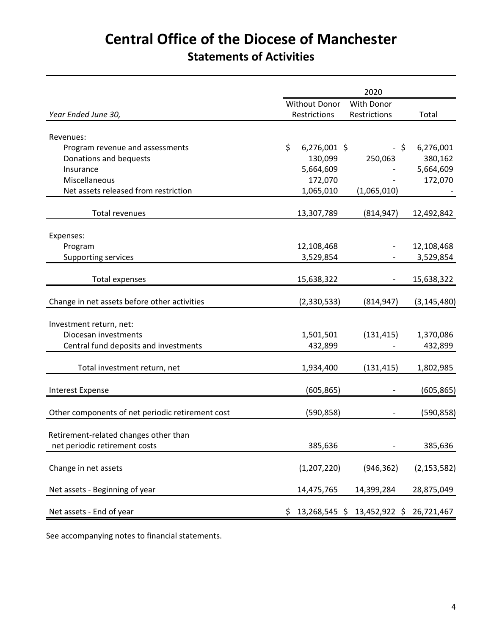### **Central Office of the Diocese of Manchester Statements of Activities**

|                                                  |                      | 2020              |               |
|--------------------------------------------------|----------------------|-------------------|---------------|
|                                                  | <b>Without Donor</b> | <b>With Donor</b> |               |
| Year Ended June 30,                              | Restrictions         | Restrictions      | Total         |
|                                                  |                      |                   |               |
| Revenues:                                        |                      |                   |               |
| Program revenue and assessments                  | \$<br>6,276,001 \$   | - \$              | 6,276,001     |
| Donations and bequests                           | 130,099              | 250,063           | 380,162       |
| Insurance                                        | 5,664,609            |                   | 5,664,609     |
| Miscellaneous                                    | 172,070              |                   | 172,070       |
| Net assets released from restriction             | 1,065,010            | (1,065,010)       |               |
| <b>Total revenues</b>                            | 13,307,789           | (814, 947)        | 12,492,842    |
|                                                  |                      |                   |               |
| Expenses:<br>Program                             | 12,108,468           |                   | 12,108,468    |
| Supporting services                              | 3,529,854            |                   | 3,529,854     |
|                                                  |                      |                   |               |
| <b>Total expenses</b>                            | 15,638,322           |                   | 15,638,322    |
| Change in net assets before other activities     | (2,330,533)          | (814, 947)        | (3, 145, 480) |
| Investment return, net:                          |                      |                   |               |
| Diocesan investments                             | 1,501,501            | (131, 415)        | 1,370,086     |
| Central fund deposits and investments            | 432,899              |                   | 432,899       |
|                                                  |                      |                   |               |
| Total investment return, net                     | 1,934,400            | (131, 415)        | 1,802,985     |
| <b>Interest Expense</b>                          | (605, 865)           |                   | (605, 865)    |
| Other components of net periodic retirement cost | (590, 858)           |                   | (590, 858)    |
|                                                  |                      |                   |               |
| Retirement-related changes other than            |                      |                   |               |
| net periodic retirement costs                    | 385,636              |                   | 385,636       |
| Change in net assets                             | (1, 207, 220)        | (946, 362)        | (2, 153, 582) |
| Net assets - Beginning of year                   | 14,475,765           | 14,399,284        | 28,875,049    |
| Net assets - End of year                         | 13,268,545 \$<br>\$  | 13,452,922 \$     | 26,721,467    |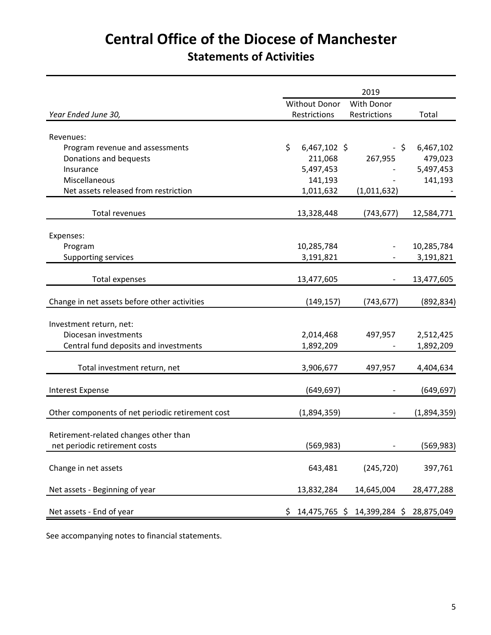### **Central Office of the Diocese of Manchester Statements of Activities**

|                                                  |                      | 2019          |             |
|--------------------------------------------------|----------------------|---------------|-------------|
|                                                  | <b>Without Donor</b> |               |             |
| Year Ended June 30,                              | Restrictions         | Restrictions  | Total       |
|                                                  |                      |               |             |
| Revenues:                                        |                      |               |             |
| Program revenue and assessments                  | \$<br>$6,467,102$ \$ | - \$          | 6,467,102   |
| Donations and bequests                           | 211,068              | 267,955       | 479,023     |
| Insurance                                        | 5,497,453            |               | 5,497,453   |
| Miscellaneous                                    | 141,193              |               | 141,193     |
| Net assets released from restriction             | 1,011,632            | (1,011,632)   |             |
| <b>Total revenues</b>                            | 13,328,448           | (743, 677)    | 12,584,771  |
|                                                  |                      |               |             |
| Expenses:                                        |                      |               |             |
| Program                                          | 10,285,784           |               | 10,285,784  |
| Supporting services                              | 3,191,821            |               | 3,191,821   |
|                                                  |                      |               |             |
| <b>Total expenses</b>                            | 13,477,605           |               | 13,477,605  |
| Change in net assets before other activities     | (149, 157)           | (743, 677)    | (892, 834)  |
|                                                  |                      |               |             |
| Investment return, net:                          |                      |               |             |
| Diocesan investments                             | 2,014,468            | 497,957       | 2,512,425   |
| Central fund deposits and investments            | 1,892,209            |               | 1,892,209   |
| Total investment return, net                     | 3,906,677            | 497,957       | 4,404,634   |
| Interest Expense                                 | (649, 697)           |               | (649, 697)  |
|                                                  |                      |               |             |
| Other components of net periodic retirement cost | (1,894,359)          |               | (1,894,359) |
|                                                  |                      |               |             |
| Retirement-related changes other than            |                      |               |             |
| net periodic retirement costs                    | (569, 983)           |               | (569, 983)  |
| Change in net assets                             | 643,481              | (245, 720)    | 397,761     |
| Net assets - Beginning of year                   | 13,832,284           | 14,645,004    | 28,477,288  |
| Net assets - End of year                         | 14,475,765 \$<br>\$  | 14,399,284 \$ | 28,875,049  |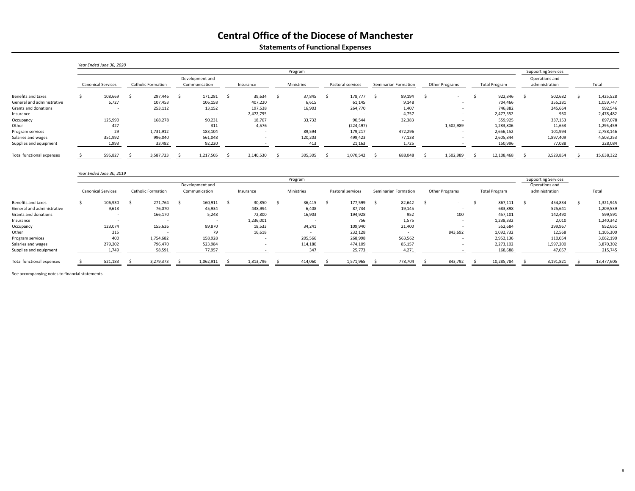#### **Central Office of the Diocese of Manchester**

#### **Statements of Functional Expenses**

|                            |                                                        | Year Ended June 30, 2020 |  |                                  |  |           |  |            |  | Program           |  |                      |  |                |  |                      |  |                                  |  | <b>Supporting Services</b> |            |
|----------------------------|--------------------------------------------------------|--------------------------|--|----------------------------------|--|-----------|--|------------|--|-------------------|--|----------------------|--|----------------|--|----------------------|--|----------------------------------|--|----------------------------|------------|
|                            | <b>Catholic Formation</b><br><b>Canonical Services</b> |                          |  | Development and<br>Communication |  | Insurance |  | Ministries |  | Pastoral services |  | Seminarian Formation |  | Other Programs |  | <b>Total Program</b> |  | Operations and<br>administration |  | Total                      |            |
| Benefits and taxes         |                                                        | 108,669                  |  | 297,446                          |  | 171,281   |  | 39,634     |  | 37,845            |  | 178,777              |  | 89,194         |  | ж.                   |  | 922,846                          |  | 502,682                    | 1,425,528  |
| General and administrative |                                                        | 6,727                    |  | 107,453                          |  | 106,158   |  | 407,220    |  | 6,615             |  | 61,145               |  | 9,148          |  |                      |  | 704,466                          |  | 355,281                    | 1,059,747  |
| Grants and donations       |                                                        |                          |  | 253,112                          |  | 13,152    |  | 197,538    |  | 16,903            |  | 264,770              |  | 1,407          |  |                      |  | 746,882                          |  | 245,664                    | 992,546    |
| Insurance                  |                                                        |                          |  |                                  |  |           |  | 2,472,795  |  |                   |  |                      |  | 4.757          |  |                      |  | 2,477,552                        |  | 930                        | 2,478,482  |
| Occupancy                  |                                                        | 125,990                  |  | 168,278                          |  | 90,231    |  | 18,767     |  | 33,732            |  | 90,544               |  | 32,383         |  |                      |  | 559,925                          |  | 337,153                    | 897,078    |
| Other                      |                                                        | 427                      |  |                                  |  | 311       |  | 4,576      |  |                   |  | (224, 497)           |  |                |  | 1,502,989            |  | 1,283,806                        |  | 11,653                     | 1,295,459  |
| Program services           |                                                        | 29                       |  | 1,731,912                        |  | 183,104   |  |            |  | 89,594            |  | 179,217              |  | 472,296        |  |                      |  | 2,656,152                        |  | 101,994                    | 2,758,146  |
| Salaries and wages         |                                                        | 351,992                  |  | 996,040                          |  | 561,048   |  |            |  | 120.203           |  | 499,423              |  | 77,138         |  |                      |  | 2,605,844                        |  | 1,897,409                  | 4,503,253  |
| Supplies and equipment     |                                                        | 1,993                    |  | 33,482                           |  | 92,220    |  |            |  | 413               |  | 21,163               |  | 1,725          |  |                      |  | 150,996                          |  | 77,088                     | 228,084    |
| Total functional expenses  |                                                        | 595,827                  |  | 3,587,723                        |  | 1,217,505 |  | 3,140,530  |  | 305,305           |  | 1,070,542            |  | 688,048        |  | 1,502,989            |  | 12,108,468                       |  | 3,529,854                  | 15,638,322 |

#### Year Ended June 30, 2019 Program **Supporting Services** Development and Operations and **Canonical Services** Catholic Formation Communication Insurance Ministries Pastoral services Seminarian Formation Other Programs **Total Program** administration Total Benefits and taxes  $\ddot{\varsigma}$ 106,930  $\dot{\mathsf{s}}$ 271,764  $\mathsf{S}$ 160,911  $\zeta$ 30,850  $\ddot{\mathsf{s}}$ 36,415  $\ddot{\mathsf{s}}$ 177,599  $\dot{\mathsf{s}}$ 82,642  $\boldsymbol{\mathsf{S}}$  $\mathsf{s}$ 867,111  $\zeta$ 454,834  $\dot{\mathsf{s}}$ 1,321,945 ÷, General and administrative 9,613 76,070 45,934 438,994 6,408 87,734 19,145 683,898 525,641 1,209,539 166,170 5,248 72,800 16,903 194,928 100 457,101 142,490 599,591 Grants and donations  $\overline{\phantom{a}}$ 952 Insurance 1,236,001 756 1,575 1,238,332 2,010 1,240,342 123,074 155,626 89,870 18,533 34,241 109,940 21,400 552,684 299,967 852,651 Occupancy  $\overline{\phantom{a}}$ Other 215 79 16,618 232,128 843,692 1,092,732 12,568 1,105,300 1,754,682 158,928 205,566 563,562 2,952,136 110,054 3,062,190 Program services 400  $\overline{\phantom{a}}$ 268,998 Salaries and wages 279,202 796,470 523,984 114,180 474,109 85,157 2,273,102 1,597,200 3,870,302 ÷, 1,749 58,591 168,688 Supplies and equipment 77,957 347 25,773 4,271 47,057 215,745 **Total functional expenses** 521,183  $\mathsf{\hat{S}}$ 3,279,373 1,062,911 1,813,796 414,060 1,571,965 778,704 843,792 10,285,784 3,191,821 13,477,605 S,  $\mathsf{\hat{S}}$  $\dot{\mathbf{s}}$ \$  $\mathsf{\hat{S}}$

 $6\phantom{a}$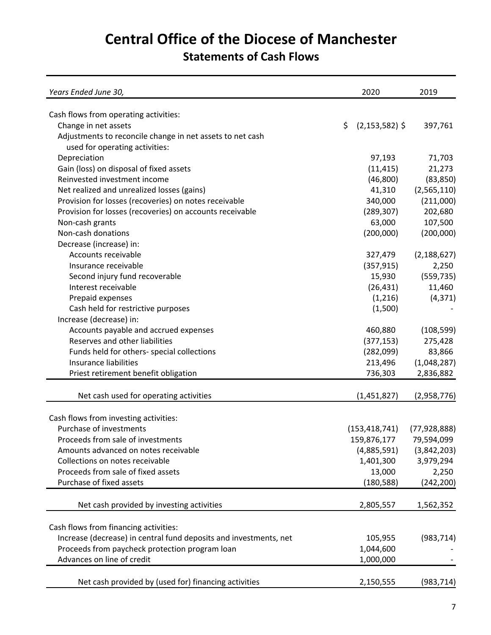### **Central Office of the Diocese of Manchester**

### **Statements of Cash Flows**

| Years Ended June 30,                                              | 2020                     | 2019           |
|-------------------------------------------------------------------|--------------------------|----------------|
| Cash flows from operating activities:                             |                          |                |
| Change in net assets                                              | \$<br>$(2, 153, 582)$ \$ | 397,761        |
| Adjustments to reconcile change in net assets to net cash         |                          |                |
| used for operating activities:                                    |                          |                |
| Depreciation                                                      | 97,193                   | 71,703         |
| Gain (loss) on disposal of fixed assets                           | (11, 415)                | 21,273         |
| Reinvested investment income                                      | (46, 800)                | (83, 850)      |
| Net realized and unrealized losses (gains)                        | 41,310                   | (2,565,110)    |
| Provision for losses (recoveries) on notes receivable             | 340,000                  | (211,000)      |
| Provision for losses (recoveries) on accounts receivable          | (289, 307)               | 202,680        |
| Non-cash grants                                                   | 63,000                   | 107,500        |
| Non-cash donations                                                | (200,000)                | (200,000)      |
| Decrease (increase) in:                                           |                          |                |
| Accounts receivable                                               | 327,479                  | (2, 188, 627)  |
| Insurance receivable                                              | (357, 915)               | 2,250          |
| Second injury fund recoverable                                    | 15,930                   | (559, 735)     |
| Interest receivable                                               | (26, 431)                | 11,460         |
| Prepaid expenses                                                  | (1,216)                  | (4, 371)       |
| Cash held for restrictive purposes                                | (1,500)                  |                |
| Increase (decrease) in:                                           |                          |                |
| Accounts payable and accrued expenses                             | 460,880                  | (108, 599)     |
| Reserves and other liabilities                                    | (377, 153)               | 275,428        |
| Funds held for others- special collections                        | (282,099)                | 83,866         |
| <b>Insurance liabilities</b>                                      | 213,496                  | (1,048,287)    |
| Priest retirement benefit obligation                              | 736,303                  | 2,836,882      |
|                                                                   |                          |                |
| Net cash used for operating activities                            | (1,451,827)              | (2,958,776)    |
|                                                                   |                          |                |
| Cash flows from investing activities:                             |                          |                |
| Purchase of investments                                           | (153, 418, 741)          | (77, 928, 888) |
| Proceeds from sale of investments                                 | 159,876,177              | 79,594,099     |
| Amounts advanced on notes receivable                              | (4,885,591)              | (3,842,203)    |
| Collections on notes receivable                                   | 1,401,300                | 3,979,294      |
| Proceeds from sale of fixed assets                                | 13,000                   | 2,250          |
| Purchase of fixed assets                                          | (180, 588)               | (242, 200)     |
|                                                                   |                          |                |
| Net cash provided by investing activities                         | 2,805,557                | 1,562,352      |
| Cash flows from financing activities:                             |                          |                |
| Increase (decrease) in central fund deposits and investments, net | 105,955                  | (983, 714)     |
| Proceeds from paycheck protection program loan                    | 1,044,600                |                |
| Advances on line of credit                                        | 1,000,000                |                |
|                                                                   |                          |                |
| Net cash provided by (used for) financing activities              | 2,150,555                | (983, 714)     |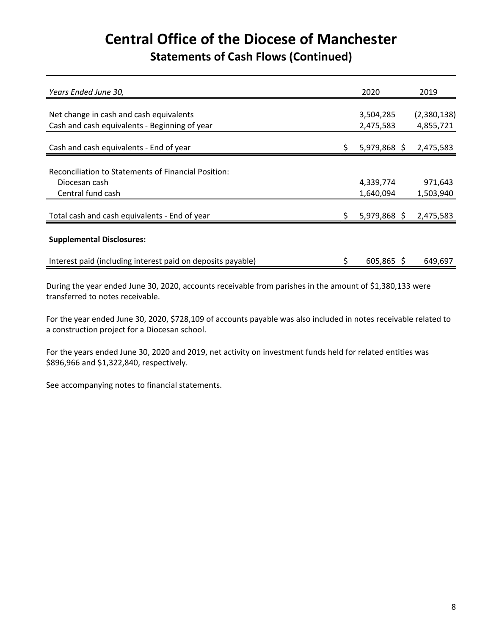### **Central Office of the Diocese of Manchester Statements of Cash Flows (Continued)**

| Years Ended June 30,                                        | 2020            | 2019        |
|-------------------------------------------------------------|-----------------|-------------|
|                                                             |                 |             |
| Net change in cash and cash equivalents                     | 3,504,285       | (2,380,138) |
| Cash and cash equivalents - Beginning of year               | 2,475,583       | 4,855,721   |
|                                                             |                 |             |
| Cash and cash equivalents - End of year                     | $5,979,868$ \$  | 2,475,583   |
|                                                             |                 |             |
| Reconciliation to Statements of Financial Position:         |                 |             |
| Diocesan cash                                               | 4,339,774       | 971,643     |
| Central fund cash                                           | 1,640,094       | 1,503,940   |
|                                                             |                 |             |
| Total cash and cash equivalents - End of year               | 5,979,868 \$    | 2,475,583   |
|                                                             |                 |             |
| <b>Supplemental Disclosures:</b>                            |                 |             |
|                                                             |                 |             |
| Interest paid (including interest paid on deposits payable) | \$<br>605.865 S | 649,697     |

During the year ended June 30, 2020, accounts receivable from parishes in the amount of \$1,380,133 were transferred to notes receivable.

For the year ended June 30, 2020, \$728,109 of accounts payable was also included in notes receivable related to a construction project for a Diocesan school.

For the years ended June 30, 2020 and 2019, net activity on investment funds held for related entities was \$896,966 and \$1,322,840, respectively.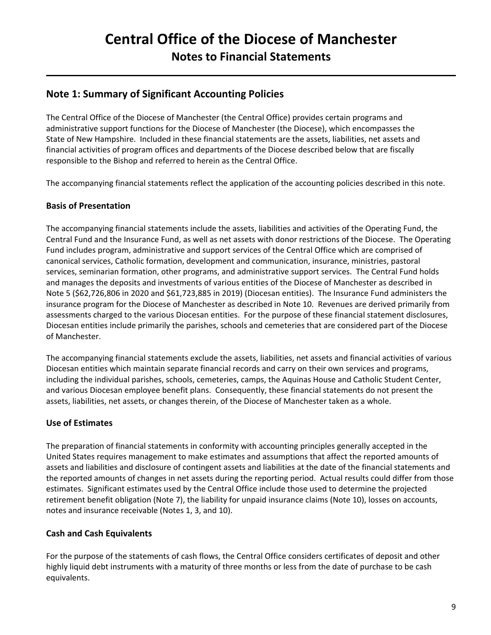### **Note 1: Summary of Significant Accounting Policies**

The Central Office of the Diocese of Manchester (the Central Office) provides certain programs and administrative support functions for the Diocese of Manchester (the Diocese), which encompasses the State of New Hampshire. Included in these financial statements are the assets, liabilities, net assets and financial activities of program offices and departments of the Diocese described below that are fiscally responsible to the Bishop and referred to herein as the Central Office.

The accompanying financial statements reflect the application of the accounting policies described in this note.

#### **Basis of Presentation**

The accompanying financial statements include the assets, liabilities and activities of the Operating Fund, the Central Fund and the Insurance Fund, as well as net assets with donor restrictions of the Diocese. The Operating Fund includes program, administrative and support services of the Central Office which are comprised of canonical services, Catholic formation, development and communication, insurance, ministries, pastoral services, seminarian formation, other programs, and administrative support services. The Central Fund holds and manages the deposits and investments of various entities of the Diocese of Manchester as described in Note 5 (\$62,726,806 in 2020 and \$61,723,885 in 2019) (Diocesan entities). The Insurance Fund administers the insurance program for the Diocese of Manchester as described in Note 10. Revenues are derived primarily from assessments charged to the various Diocesan entities. For the purpose of these financial statement disclosures, Diocesan entities include primarily the parishes, schools and cemeteries that are considered part of the Diocese of Manchester.

The accompanying financial statements exclude the assets, liabilities, net assets and financial activities of various Diocesan entities which maintain separate financial records and carry on their own services and programs, including the individual parishes, schools, cemeteries, camps, the Aquinas House and Catholic Student Center, and various Diocesan employee benefit plans. Consequently, these financial statements do not present the assets, liabilities, net assets, or changes therein, of the Diocese of Manchester taken as a whole.

#### **Use of Estimates**

The preparation of financial statements in conformity with accounting principles generally accepted in the United States requires management to make estimates and assumptions that affect the reported amounts of assets and liabilities and disclosure of contingent assets and liabilities at the date of the financial statements and the reported amounts of changes in net assets during the reporting period. Actual results could differ from those estimates. Significant estimates used by the Central Office include those used to determine the projected retirement benefit obligation (Note 7), the liability for unpaid insurance claims (Note 10), losses on accounts, notes and insurance receivable (Notes 1, 3, and 10).

#### **Cash and Cash Equivalents**

For the purpose of the statements of cash flows, the Central Office considers certificates of deposit and other highly liquid debt instruments with a maturity of three months or less from the date of purchase to be cash equivalents.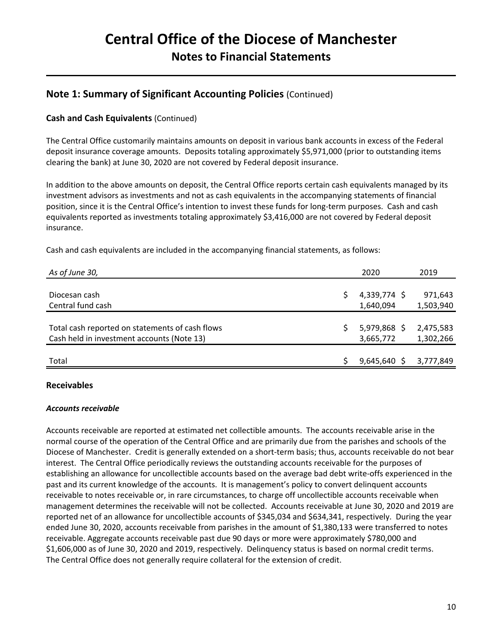### **Note 1: Summary of Significant Accounting Policies** (Continued)

#### **Cash and Cash Equivalents** (Continued)

The Central Office customarily maintains amounts on deposit in various bank accounts in excess of the Federal deposit insurance coverage amounts. Deposits totaling approximately \$5,971,000 (prior to outstanding items clearing the bank) at June 30, 2020 are not covered by Federal deposit insurance.

In addition to the above amounts on deposit, the Central Office reports certain cash equivalents managed by its investment advisors as investments and not as cash equivalents in the accompanying statements of financial position, since it is the Central Office's intention to invest these funds for long-term purposes. Cash and cash equivalents reported as investments totaling approximately \$3,416,000 are not covered by Federal deposit insurance.

Cash and cash equivalents are included in the accompanying financial statements, as follows:

| As of June 30,                                  |   | 2020         | 2019      |
|-------------------------------------------------|---|--------------|-----------|
|                                                 |   |              |           |
| Diocesan cash                                   |   | 4,339,774 \$ | 971,643   |
| Central fund cash                               |   | 1,640,094    | 1,503,940 |
|                                                 |   |              |           |
| Total cash reported on statements of cash flows | S | 5,979,868 \$ | 2,475,583 |
| Cash held in investment accounts (Note 13)      |   | 3,665,772    | 1,302,266 |
|                                                 |   |              |           |
| Total                                           |   | 9,645,640    | 3,777,849 |

#### **Receivables**

#### *Accounts receivable*

Accounts receivable are reported at estimated net collectible amounts. The accounts receivable arise in the normal course of the operation of the Central Office and are primarily due from the parishes and schools of the Diocese of Manchester. Credit is generally extended on a short-term basis; thus, accounts receivable do not bear interest. The Central Office periodically reviews the outstanding accounts receivable for the purposes of establishing an allowance for uncollectible accounts based on the average bad debt write-offs experienced in the past and its current knowledge of the accounts. It is management's policy to convert delinquent accounts receivable to notes receivable or, in rare circumstances, to charge off uncollectible accounts receivable when management determines the receivable will not be collected. Accounts receivable at June 30, 2020 and 2019 are reported net of an allowance for uncollectible accounts of \$345,034 and \$634,341, respectively. During the year ended June 30, 2020, accounts receivable from parishes in the amount of \$1,380,133 were transferred to notes receivable. Aggregate accounts receivable past due 90 days or more were approximately \$780,000 and \$1,606,000 as of June 30, 2020 and 2019, respectively. Delinquency status is based on normal credit terms. The Central Office does not generally require collateral for the extension of credit.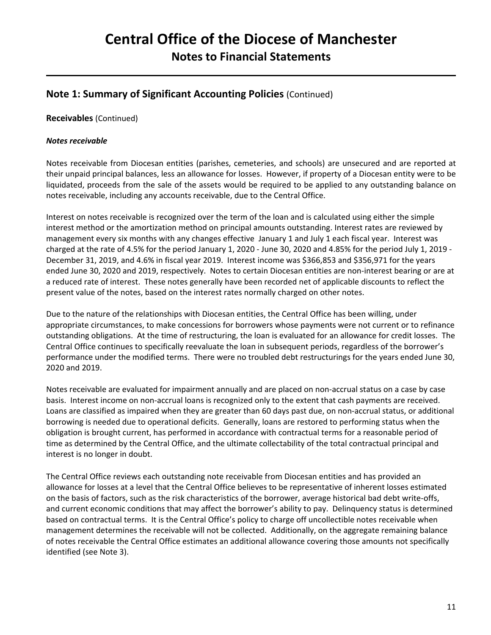### **Note 1: Summary of Significant Accounting Policies** (Continued)

#### **Receivables** (Continued)

#### *Notes receivable*

Notes receivable from Diocesan entities (parishes, cemeteries, and schools) are unsecured and are reported at their unpaid principal balances, less an allowance for losses. However, if property of a Diocesan entity were to be liquidated, proceeds from the sale of the assets would be required to be applied to any outstanding balance on notes receivable, including any accounts receivable, due to the Central Office.

Interest on notes receivable is recognized over the term of the loan and is calculated using either the simple interest method or the amortization method on principal amounts outstanding. Interest rates are reviewed by management every six months with any changes effective January 1 and July 1 each fiscal year. Interest was charged at the rate of 4.5% for the period January 1, 2020 - June 30, 2020 and 4.85% for the period July 1, 2019 - December 31, 2019, and 4.6% in fiscal year 2019. Interest income was \$366,853 and \$356,971 for the years ended June 30, 2020 and 2019, respectively. Notes to certain Diocesan entities are non-interest bearing or are at a reduced rate of interest. These notes generally have been recorded net of applicable discounts to reflect the present value of the notes, based on the interest rates normally charged on other notes.

Due to the nature of the relationships with Diocesan entities, the Central Office has been willing, under appropriate circumstances, to make concessions for borrowers whose payments were not current or to refinance outstanding obligations. At the time of restructuring, the loan is evaluated for an allowance for credit losses. The Central Office continues to specifically reevaluate the loan in subsequent periods, regardless of the borrower's performance under the modified terms. There were no troubled debt restructurings for the years ended June 30, 2020 and 2019.

Notes receivable are evaluated for impairment annually and are placed on non-accrual status on a case by case basis. Interest income on non-accrual loans is recognized only to the extent that cash payments are received. Loans are classified as impaired when they are greater than 60 days past due, on non-accrual status, or additional borrowing is needed due to operational deficits. Generally, loans are restored to performing status when the obligation is brought current, has performed in accordance with contractual terms for a reasonable period of time as determined by the Central Office, and the ultimate collectability of the total contractual principal and interest is no longer in doubt.

The Central Office reviews each outstanding note receivable from Diocesan entities and has provided an allowance for losses at a level that the Central Office believes to be representative of inherent losses estimated on the basis of factors, such as the risk characteristics of the borrower, average historical bad debt write-offs, and current economic conditions that may affect the borrower's ability to pay. Delinquency status is determined based on contractual terms. It is the Central Office's policy to charge off uncollectible notes receivable when management determines the receivable will not be collected. Additionally, on the aggregate remaining balance of notes receivable the Central Office estimates an additional allowance covering those amounts not specifically identified (see Note 3).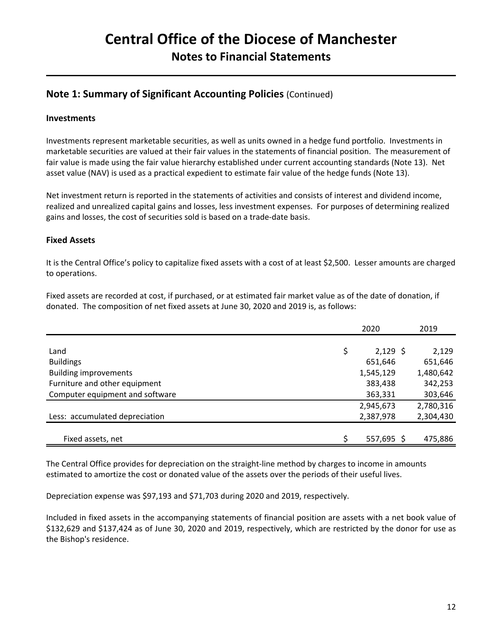### **Note 1: Summary of Significant Accounting Policies** (Continued)

#### **Investments**

Investments represent marketable securities, as well as units owned in a hedge fund portfolio. Investments in marketable securities are valued at their fair values in the statements of financial position. The measurement of fair value is made using the fair value hierarchy established under current accounting standards (Note 13). Net asset value (NAV) is used as a practical expedient to estimate fair value of the hedge funds (Note 13).

Net investment return is reported in the statements of activities and consists of interest and dividend income, realized and unrealized capital gains and losses, less investment expenses. For purposes of determining realized gains and losses, the cost of securities sold is based on a trade-date basis.

#### **Fixed Assets**

It is the Central Office's policy to capitalize fixed assets with a cost of at least \$2,500. Lesser amounts are charged to operations.

Fixed assets are recorded at cost, if purchased, or at estimated fair market value as of the date of donation, if donated. The composition of net fixed assets at June 30, 2020 and 2019 is, as follows:

|                                 |    | 2020       | 2019      |
|---------------------------------|----|------------|-----------|
|                                 |    |            |           |
| Land                            | \$ | $2,129$ \$ | 2,129     |
| <b>Buildings</b>                |    | 651,646    | 651,646   |
| <b>Building improvements</b>    |    | 1,545,129  | 1,480,642 |
| Furniture and other equipment   |    | 383,438    | 342,253   |
| Computer equipment and software |    | 363,331    | 303,646   |
|                                 |    | 2,945,673  | 2,780,316 |
| Less: accumulated depreciation  |    | 2,387,978  | 2,304,430 |
|                                 |    |            |           |
| Fixed assets, net               | S  | 557,695 \$ | 475,886   |

The Central Office provides for depreciation on the straight-line method by charges to income in amounts estimated to amortize the cost or donated value of the assets over the periods of their useful lives.

Depreciation expense was \$97,193 and \$71,703 during 2020 and 2019, respectively.

Included in fixed assets in the accompanying statements of financial position are assets with a net book value of \$132,629 and \$137,424 as of June 30, 2020 and 2019, respectively, which are restricted by the donor for use as the Bishop's residence.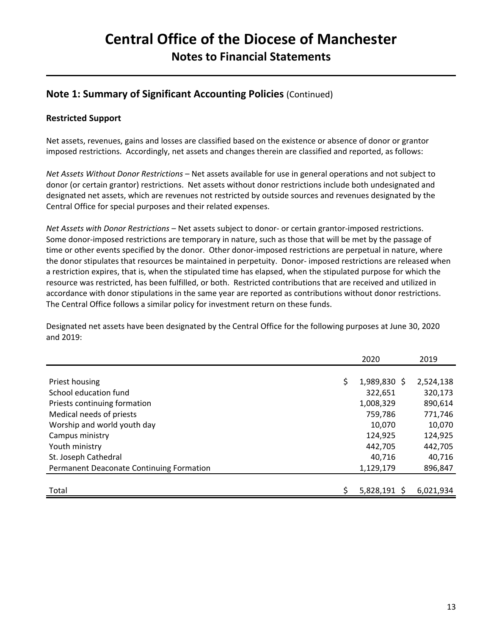### **Note 1: Summary of Significant Accounting Policies** (Continued)

#### **Restricted Support**

Net assets, revenues, gains and losses are classified based on the existence or absence of donor or grantor imposed restrictions. Accordingly, net assets and changes therein are classified and reported, as follows:

*Net Assets Without Donor Restrictions* – Net assets available for use in general operations and not subject to donor (or certain grantor) restrictions. Net assets without donor restrictions include both undesignated and designated net assets, which are revenues not restricted by outside sources and revenues designated by the Central Office for special purposes and their related expenses.

*Net Assets with Donor Restrictions* – Net assets subject to donor- or certain grantor-imposed restrictions. Some donor-imposed restrictions are temporary in nature, such as those that will be met by the passage of time or other events specified by the donor. Other donor-imposed restrictions are perpetual in nature, where the donor stipulates that resources be maintained in perpetuity. Donor- imposed restrictions are released when a restriction expires, that is, when the stipulated time has elapsed, when the stipulated purpose for which the resource was restricted, has been fulfilled, or both. Restricted contributions that are received and utilized in accordance with donor stipulations in the same year are reported as contributions without donor restrictions. The Central Office follows a similar policy for investment return on these funds.

Designated net assets have been designated by the Central Office for the following purposes at June 30, 2020 and 2019:

|                                          | 2020                 | 2019      |
|------------------------------------------|----------------------|-----------|
|                                          |                      |           |
| Priest housing                           | \$<br>1,989,830 \$   | 2,524,138 |
| School education fund                    | 322,651              | 320,173   |
| Priests continuing formation             | 1,008,329            | 890,614   |
| Medical needs of priests                 | 759,786              | 771,746   |
| Worship and world youth day              | 10,070               | 10,070    |
| Campus ministry                          | 124,925              | 124,925   |
| Youth ministry                           | 442,705              | 442,705   |
| St. Joseph Cathedral                     | 40,716               | 40,716    |
| Permanent Deaconate Continuing Formation | 1,129,179            | 896,847   |
|                                          |                      |           |
| Total                                    | \$<br>$5,828,191$ \$ | 6,021,934 |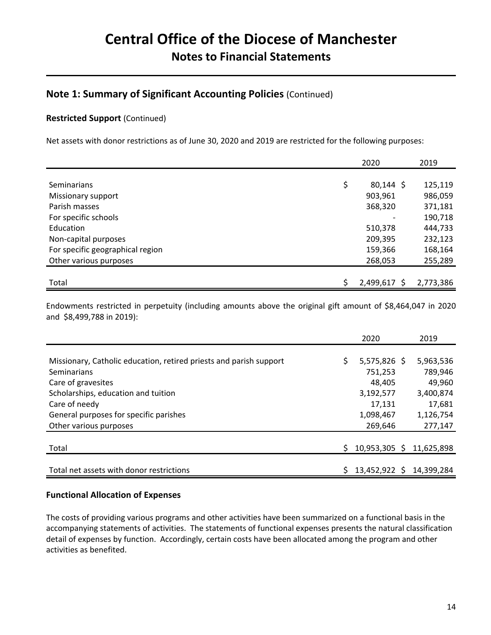### **Note 1: Summary of Significant Accounting Policies** (Continued)

#### **Restricted Support** (Continued)

Net assets with donor restrictions as of June 30, 2020 and 2019 are restricted for the following purposes:

|                                  | 2020               | 2019      |
|----------------------------------|--------------------|-----------|
|                                  |                    |           |
| Seminarians                      | \$<br>$80,144$ \$  | 125,119   |
| Missionary support               | 903,961            | 986,059   |
| Parish masses                    | 368,320            | 371,181   |
| For specific schools             |                    | 190,718   |
| Education                        | 510,378            | 444,733   |
| Non-capital purposes             | 209,395            | 232,123   |
| For specific geographical region | 159,366            | 168,164   |
| Other various purposes           | 268,053            | 255,289   |
|                                  |                    |           |
| Total                            | \$<br>2,499,617 \$ | 2,773,386 |

Endowments restricted in perpetuity (including amounts above the original gift amount of \$8,464,047 in 2020 and \$8,499,788 in 2019):

|                                                                    |    | 2020           | 2019                     |
|--------------------------------------------------------------------|----|----------------|--------------------------|
|                                                                    |    |                |                          |
| Missionary, Catholic education, retired priests and parish support | \$ | $5,575,826$ \$ | 5,963,536                |
| Seminarians                                                        |    | 751,253        | 789,946                  |
| Care of gravesites                                                 |    | 48,405         | 49,960                   |
| Scholarships, education and tuition                                |    | 3,192,577      | 3,400,874                |
| Care of needy                                                      |    | 17,131         | 17,681                   |
| General purposes for specific parishes                             |    | 1,098,467      | 1,126,754                |
| Other various purposes                                             |    | 269,646        | 277,147                  |
|                                                                    |    |                |                          |
| Total                                                              | S. |                | 10,953,305 \$ 11,625,898 |
|                                                                    |    |                |                          |
| Total net assets with donor restrictions                           | Ś  | 13,452,922 \$  | 14,399,284               |

#### **Functional Allocation of Expenses**

The costs of providing various programs and other activities have been summarized on a functional basis in the accompanying statements of activities. The statements of functional expenses presents the natural classification detail of expenses by function. Accordingly, certain costs have been allocated among the program and other activities as benefited.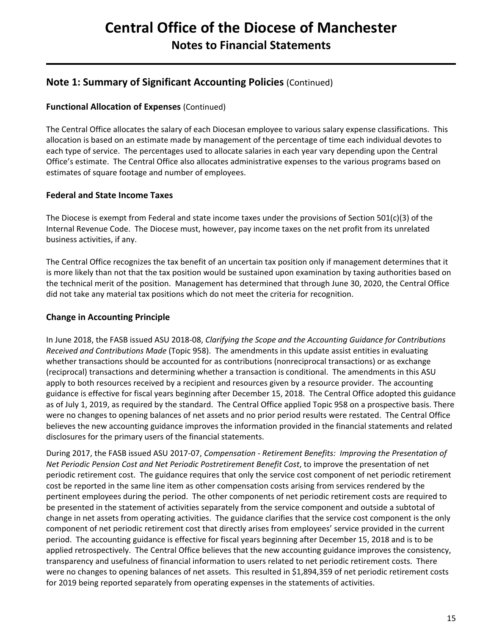### **Note 1: Summary of Significant Accounting Policies** (Continued)

#### **Functional Allocation of Expenses** (Continued)

The Central Office allocates the salary of each Diocesan employee to various salary expense classifications. This allocation is based on an estimate made by management of the percentage of time each individual devotes to each type of service. The percentages used to allocate salaries in each year vary depending upon the Central Office's estimate. The Central Office also allocates administrative expenses to the various programs based on estimates of square footage and number of employees.

#### **Federal and State Income Taxes**

The Diocese is exempt from Federal and state income taxes under the provisions of Section 501(c)(3) of the Internal Revenue Code. The Diocese must, however, pay income taxes on the net profit from its unrelated business activities, if any.

The Central Office recognizes the tax benefit of an uncertain tax position only if management determines that it is more likely than not that the tax position would be sustained upon examination by taxing authorities based on the technical merit of the position. Management has determined that through June 30, 2020, the Central Office did not take any material tax positions which do not meet the criteria for recognition.

#### **Change in Accounting Principle**

In June 2018, the FASB issued ASU 2018-08, *Clarifying the Scope and the Accounting Guidance for Contributions Received and Contributions Made* (Topic 958). The amendments in this update assist entities in evaluating whether transactions should be accounted for as contributions (nonreciprocal transactions) or as exchange (reciprocal) transactions and determining whether a transaction is conditional. The amendments in this ASU apply to both resources received by a recipient and resources given by a resource provider. The accounting guidance is effective for fiscal years beginning after December 15, 2018. The Central Office adopted this guidance as of July 1, 2019, as required by the standard. The Central Office applied Topic 958 on a prospective basis. There were no changes to opening balances of net assets and no prior period results were restated. The Central Office believes the new accounting guidance improves the information provided in the financial statements and related disclosures for the primary users of the financial statements.

During 2017, the FASB issued ASU 2017-07, *Compensation - Retirement Benefits: Improving the Presentation of Net Periodic Pension Cost and Net Periodic Postretirement Benefit Cost*, to improve the presentation of net periodic retirement cost. The guidance requires that only the service cost component of net periodic retirement cost be reported in the same line item as other compensation costs arising from services rendered by the pertinent employees during the period. The other components of net periodic retirement costs are required to be presented in the statement of activities separately from the service component and outside a subtotal of change in net assets from operating activities. The guidance clarifies that the service cost component is the only component of net periodic retirement cost that directly arises from employees' service provided in the current period. The accounting guidance is effective for fiscal years beginning after December 15, 2018 and is to be applied retrospectively. The Central Office believes that the new accounting guidance improves the consistency, transparency and usefulness of financial information to users related to net periodic retirement costs. There were no changes to opening balances of net assets. This resulted in \$1,894,359 of net periodic retirement costs for 2019 being reported separately from operating expenses in the statements of activities.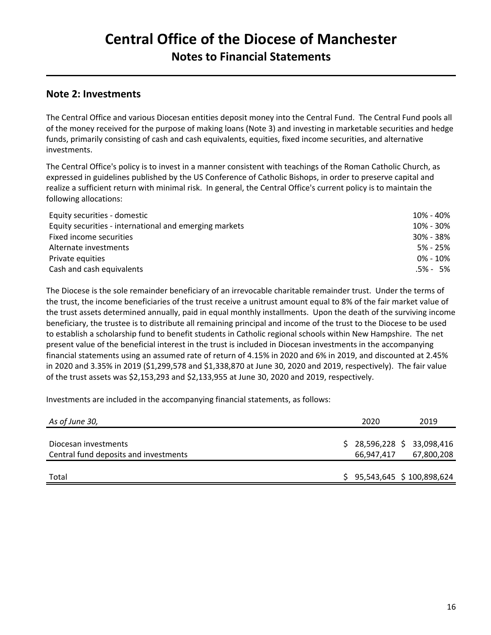### **Note 2: Investments**

The Central Office and various Diocesan entities deposit money into the Central Fund. The Central Fund pools all of the money received for the purpose of making loans (Note 3) and investing in marketable securities and hedge funds, primarily consisting of cash and cash equivalents, equities, fixed income securities, and alternative investments.

The Central Office's policy is to invest in a manner consistent with teachings of the Roman Catholic Church, as expressed in guidelines published by the US Conference of Catholic Bishops, in order to preserve capital and realize a sufficient return with minimal risk. In general, the Central Office's current policy is to maintain the following allocations:

| Equity securities - domestic                           | $10\% - 40\%$ |
|--------------------------------------------------------|---------------|
| Equity securities - international and emerging markets | $10\% - 30\%$ |
| Fixed income securities                                | $30\% - 38\%$ |
| Alternate investments                                  | $5\% - 25\%$  |
| Private equities                                       | $0\% - 10\%$  |
| Cash and cash equivalents                              | .5% - 5%      |

The Diocese is the sole remainder beneficiary of an irrevocable charitable remainder trust. Under the terms of the trust, the income beneficiaries of the trust receive a unitrust amount equal to 8% of the fair market value of the trust assets determined annually, paid in equal monthly installments. Upon the death of the surviving income beneficiary, the trustee is to distribute all remaining principal and income of the trust to the Diocese to be used to establish a scholarship fund to benefit students in Catholic regional schools within New Hampshire. The net present value of the beneficial interest in the trust is included in Diocesan investments in the accompanying financial statements using an assumed rate of return of 4.15% in 2020 and 6% in 2019, and discounted at 2.45% in 2020 and 3.35% in 2019 (\$1,299,578 and \$1,338,870 at June 30, 2020 and 2019, respectively). The fair value of the trust assets was \$2,153,293 and \$2,133,955 at June 30, 2020 and 2019, respectively.

Investments are included in the accompanying financial statements, as follows:

| As of June 30,                        | 2020                     | 2019       |
|---------------------------------------|--------------------------|------------|
|                                       |                          |            |
| Diocesan investments                  | \$28,596,228 \$3,098,416 |            |
| Central fund deposits and investments | 66,947,417               | 67,800,208 |
|                                       |                          |            |
| Total                                 | 95,543,645 \$100,898,624 |            |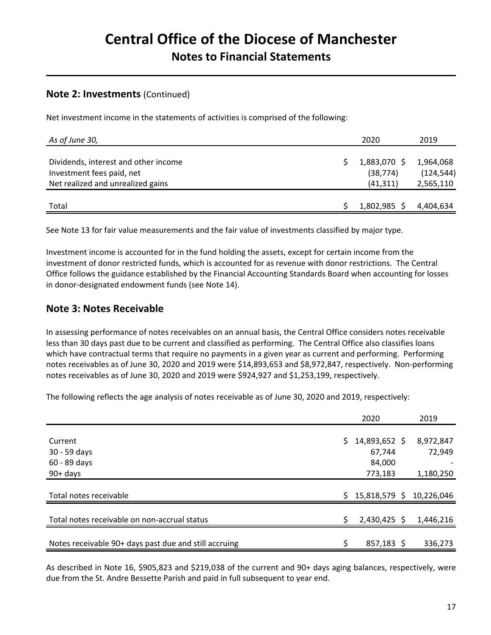### **Note 2: Investments** (Continued)

Net investment income in the statements of activities is comprised of the following:

| As of June 30,                       | 2020           | 2019       |
|--------------------------------------|----------------|------------|
| Dividends, interest and other income | 1,883,070 \$   | 1,964,068  |
| Investment fees paid, net            | (38, 774)      | (124, 544) |
| Net realized and unrealized gains    | (41, 311)      | 2,565,110  |
|                                      |                |            |
| Total                                | $1,802,985$ \$ | 4,404,634  |

See Note 13 for fair value measurements and the fair value of investments classified by major type.

Investment income is accounted for in the fund holding the assets, except for certain income from the investment of donor restricted funds, which is accounted for as revenue with donor restrictions. The Central Office follows the guidance established by the Financial Accounting Standards Board when accounting for losses in donor-designated endowment funds (see Note 14).

#### **Note 3: Notes Receivable**

In assessing performance of notes receivables on an annual basis, the Central Office considers notes receivable less than 30 days past due to be current and classified as performing. The Central Office also classifies loans which have contractual terms that require no payments in a given year as current and performing. Performing notes receivables as of June 30, 2020 and 2019 were \$14,893,653 and \$8,972,847, respectively. Non-performing notes receivables as of June 30, 2020 and 2019 were \$924,927 and \$1,253,199, respectively.

The following reflects the age analysis of notes receivable as of June 30, 2020 and 2019, respectively:

|                                                       |     | 2020           | 2019       |
|-------------------------------------------------------|-----|----------------|------------|
|                                                       |     |                |            |
| Current                                               | \$. | 14,893,652 \$  | 8,972,847  |
| 30 - 59 days                                          |     | 67,744         | 72,949     |
| 60 - 89 days                                          |     | 84,000         |            |
| $90+$ days                                            |     | 773,183        | 1,180,250  |
|                                                       |     |                |            |
| Total notes receivable                                | Ś.  | 15,818,579 \$  | 10,226,046 |
|                                                       |     |                |            |
| Total notes receivable on non-accrual status          | ς   | $2,430,425$ \$ | 1,446,216  |
|                                                       |     |                |            |
| Notes receivable 90+ days past due and still accruing | \$  | $857,183$ \$   | 336,273    |

As described in Note 16, \$905,823 and \$219,038 of the current and 90+ days aging balances, respectively, were due from the St. Andre Bessette Parish and paid in full subsequent to year end.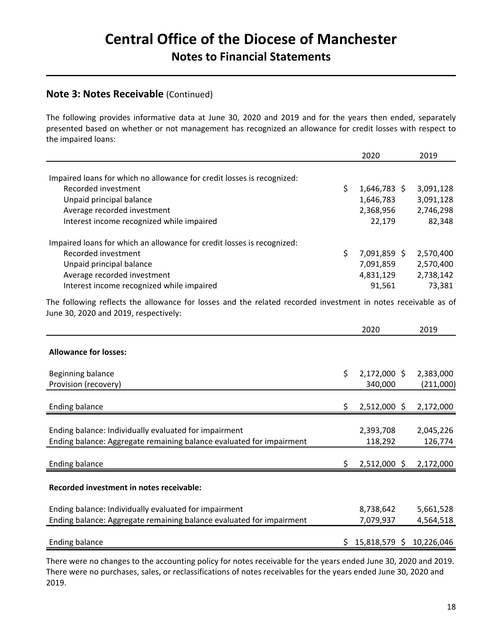### **Note 3: Notes Receivable** (Continued)

The following provides informative data at June 30, 2020 and 2019 and for the years then ended, separately presented based on whether or not management has recognized an allowance for credit losses with respect to the impaired loans:

|                                                                                                                                                        | 2020                | 2019       |
|--------------------------------------------------------------------------------------------------------------------------------------------------------|---------------------|------------|
| Impaired loans for which no allowance for credit losses is recognized:                                                                                 |                     |            |
| Recorded investment                                                                                                                                    | \$<br>1,646,783 \$  | 3,091,128  |
| Unpaid principal balance                                                                                                                               | 1,646,783           | 3,091,128  |
| Average recorded investment                                                                                                                            | 2,368,956           | 2,746,298  |
| Interest income recognized while impaired                                                                                                              | 22,179              | 82,348     |
| Impaired loans for which an allowance for credit losses is recognized:                                                                                 |                     |            |
| Recorded investment                                                                                                                                    | \$<br>7,091,859 \$  | 2,570,400  |
| Unpaid principal balance                                                                                                                               | 7,091,859           | 2,570,400  |
| Average recorded investment                                                                                                                            | 4,831,129           | 2,738,142  |
| Interest income recognized while impaired                                                                                                              | 91,561              | 73,381     |
| The following reflects the allowance for losses and the related recorded investment in notes receivable as of<br>June 30, 2020 and 2019, respectively: |                     |            |
|                                                                                                                                                        | 2020                | 2019       |
| <b>Allowance for losses:</b>                                                                                                                           |                     |            |
| Beginning balance                                                                                                                                      | \$<br>2,172,000 \$  | 2,383,000  |
| Provision (recovery)                                                                                                                                   | 340,000             | (211,000)  |
| <b>Ending balance</b>                                                                                                                                  | \$<br>2,512,000 \$  | 2,172,000  |
|                                                                                                                                                        |                     |            |
| Ending balance: Individually evaluated for impairment                                                                                                  | 2,393,708           | 2,045,226  |
| Ending balance: Aggregate remaining balance evaluated for impairment                                                                                   | 118,292             | 126,774    |
|                                                                                                                                                        |                     |            |
| <b>Ending balance</b>                                                                                                                                  | \$<br>2,512,000 \$  | 2,172,000  |
| Recorded investment in notes receivable:                                                                                                               |                     |            |
| Ending balance: Individually evaluated for impairment                                                                                                  | 8,738,642           | 5,661,528  |
| Ending balance: Aggregate remaining balance evaluated for impairment                                                                                   | 7,079,937           | 4,564,518  |
| <b>Ending balance</b>                                                                                                                                  | \$<br>15,818,579 \$ | 10,226,046 |

There were no changes to the accounting policy for notes receivable for the years ended June 30, 2020 and 2019. There were no purchases, sales, or reclassifications of notes receivables for the years ended June 30, 2020 and 2019.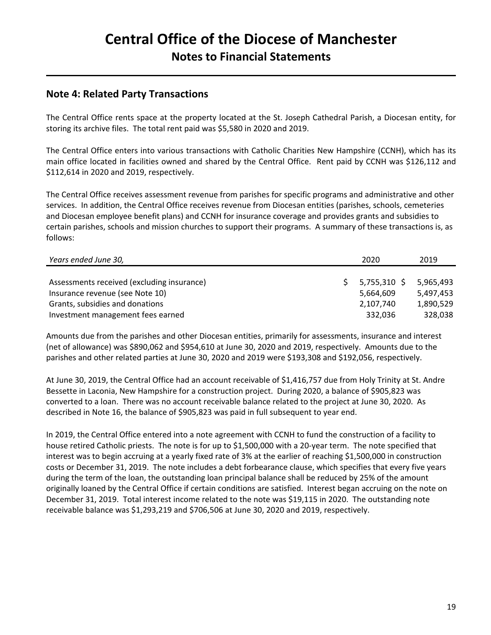### **Note 4: Related Party Transactions**

The Central Office rents space at the property located at the St. Joseph Cathedral Parish, a Diocesan entity, for storing its archive files. The total rent paid was \$5,580 in 2020 and 2019.

The Central Office enters into various transactions with Catholic Charities New Hampshire (CCNH), which has its main office located in facilities owned and shared by the Central Office. Rent paid by CCNH was \$126,112 and \$112,614 in 2020 and 2019, respectively.

The Central Office receives assessment revenue from parishes for specific programs and administrative and other services. In addition, the Central Office receives revenue from Diocesan entities (parishes, schools, cemeteries and Diocesan employee benefit plans) and CCNH for insurance coverage and provides grants and subsidies to certain parishes, schools and mission churches to support their programs. A summary of these transactions is, as follows:

| Years ended June 30,                       | 2020           | 2019      |
|--------------------------------------------|----------------|-----------|
|                                            |                |           |
| Assessments received (excluding insurance) | $5,755,310$ \$ | 5,965,493 |
| Insurance revenue (see Note 10)            | 5,664,609      | 5.497.453 |
| Grants, subsidies and donations            | 2,107,740      | 1,890,529 |
| Investment management fees earned          | 332,036        | 328,038   |

Amounts due from the parishes and other Diocesan entities, primarily for assessments, insurance and interest (net of allowance) was \$890,062 and \$954,610 at June 30, 2020 and 2019, respectively. Amounts due to the parishes and other related parties at June 30, 2020 and 2019 were \$193,308 and \$192,056, respectively.

At June 30, 2019, the Central Office had an account receivable of \$1,416,757 due from Holy Trinity at St. Andre Bessette in Laconia, New Hampshire for a construction project. During 2020, a balance of \$905,823 was converted to a loan. There was no account receivable balance related to the project at June 30, 2020. As described in Note 16, the balance of \$905,823 was paid in full subsequent to year end.

In 2019, the Central Office entered into a note agreement with CCNH to fund the construction of a facility to house retired Catholic priests. The note is for up to \$1,500,000 with a 20-year term. The note specified that interest was to begin accruing at a yearly fixed rate of 3% at the earlier of reaching \$1,500,000 in construction costs or December 31, 2019. The note includes a debt forbearance clause, which specifies that every five years during the term of the loan, the outstanding loan principal balance shall be reduced by 25% of the amount originally loaned by the Central Office if certain conditions are satisfied. Interest began accruing on the note on December 31, 2019. Total interest income related to the note was \$19,115 in 2020. The outstanding note receivable balance was \$1,293,219 and \$706,506 at June 30, 2020 and 2019, respectively.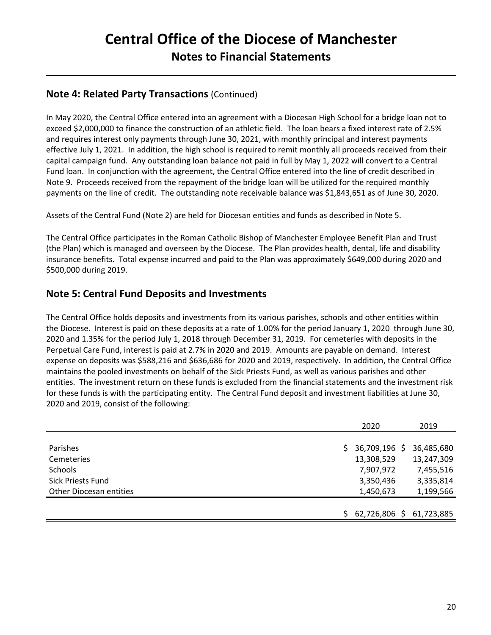### **Note 4: Related Party Transactions** (Continued)

In May 2020, the Central Office entered into an agreement with a Diocesan High School for a bridge loan not to exceed \$2,000,000 to finance the construction of an athletic field. The loan bears a fixed interest rate of 2.5% and requires interest only payments through June 30, 2021, with monthly principal and interest payments effective July 1, 2021. In addition, the high school is required to remit monthly all proceeds received from their capital campaign fund. Any outstanding loan balance not paid in full by May 1, 2022 will convert to a Central Fund loan. In conjunction with the agreement, the Central Office entered into the line of credit described in Note 9. Proceeds received from the repayment of the bridge loan will be utilized for the required monthly payments on the line of credit. The outstanding note receivable balance was \$1,843,651 as of June 30, 2020.

Assets of the Central Fund (Note 2) are held for Diocesan entities and funds as described in Note 5.

The Central Office participates in the Roman Catholic Bishop of Manchester Employee Benefit Plan and Trust (the Plan) which is managed and overseen by the Diocese. The Plan provides health, dental, life and disability insurance benefits. Total expense incurred and paid to the Plan was approximately \$649,000 during 2020 and \$500,000 during 2019.

### **Note 5: Central Fund Deposits and Investments**

The Central Office holds deposits and investments from its various parishes, schools and other entities within the Diocese. Interest is paid on these deposits at a rate of 1.00% for the period January 1, 2020 through June 30, 2020 and 1.35% for the period July 1, 2018 through December 31, 2019. For cemeteries with deposits in the Perpetual Care Fund, interest is paid at 2.7% in 2020 and 2019. Amounts are payable on demand. Interest expense on deposits was \$588,216 and \$636,686 for 2020 and 2019, respectively. In addition, the Central Office maintains the pooled investments on behalf of the Sick Priests Fund, as well as various parishes and other entities. The investment return on these funds is excluded from the financial statements and the investment risk for these funds is with the participating entity. The Central Fund deposit and investment liabilities at June 30, 2020 and 2019, consist of the following:

|                          |   | 2020                     | 2019       |
|--------------------------|---|--------------------------|------------|
|                          |   |                          |            |
| <b>Parishes</b>          |   | \$36,709,196             | 36,485,680 |
| <b>Cemeteries</b>        |   | 13,308,529               | 13,247,309 |
| Schools                  |   | 7,907,972                | 7,455,516  |
| <b>Sick Priests Fund</b> |   | 3,350,436                | 3,335,814  |
| Other Diocesan entities  |   | 1,450,673                | 1,199,566  |
|                          |   |                          |            |
|                          | S | 62,726,806 \$ 61,723,885 |            |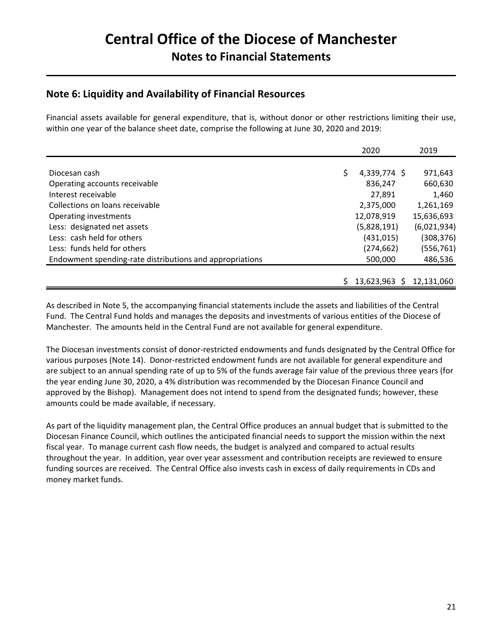### **Note 6: Liquidity and Availability of Financial Resources**

Financial assets available for general expenditure, that is, without donor or other restrictions limiting their use, within one year of the balance sheet date, comprise the following at June 30, 2020 and 2019:

|                                                          | 2020               | 2019        |
|----------------------------------------------------------|--------------------|-------------|
|                                                          |                    |             |
| Diocesan cash                                            | \$<br>4,339,774 \$ | 971,643     |
| Operating accounts receivable                            | 836,247            | 660,630     |
| Interest receivable                                      | 27,891             | 1,460       |
| Collections on loans receivable                          | 2,375,000          | 1,261,169   |
| Operating investments                                    | 12,078,919         | 15,636,693  |
| Less: designated net assets                              | (5,828,191)        | (6,021,934) |
| Less: cash held for others                               | (431, 015)         | (308, 376)  |
| Less: funds held for others                              | (274, 662)         | (556, 761)  |
| Endowment spending-rate distributions and appropriations | 500,000            | 486,536     |
|                                                          |                    |             |
|                                                          | 13,623,963<br>S.   | 12,131,060  |

As described in Note 5, the accompanying financial statements include the assets and liabilities of the Central Fund. The Central Fund holds and manages the deposits and investments of various entities of the Diocese of Manchester. The amounts held in the Central Fund are not available for general expenditure.

The Diocesan investments consist of donor-restricted endowments and funds designated by the Central Office for various purposes (Note 14). Donor-restricted endowment funds are not available for general expenditure and are subject to an annual spending rate of up to 5% of the funds average fair value of the previous three years (for the year ending June 30, 2020, a 4% distribution was recommended by the Diocesan Finance Council and approved by the Bishop). Management does not intend to spend from the designated funds; however, these amounts could be made available, if necessary.

As part of the liquidity management plan, the Central Office produces an annual budget that is submitted to the Diocesan Finance Council, which outlines the anticipated financial needs to support the mission within the next fiscal year. To manage current cash flow needs, the budget is analyzed and compared to actual results throughout the year. In addition, year over year assessment and contribution receipts are reviewed to ensure funding sources are received. The Central Office also invests cash in excess of daily requirements in CDs and money market funds.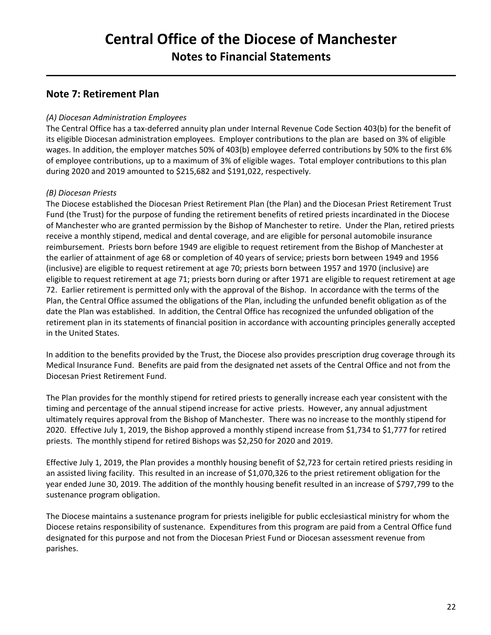### **Note 7: Retirement Plan**

#### *(A) Diocesan Administration Employees*

The Central Office has a tax-deferred annuity plan under Internal Revenue Code Section 403(b) for the benefit of its eligible Diocesan administration employees. Employer contributions to the plan are based on 3% of eligible wages. In addition, the employer matches 50% of 403(b) employee deferred contributions by 50% to the first 6% of employee contributions, up to a maximum of 3% of eligible wages. Total employer contributions to this plan during 2020 and 2019 amounted to \$215,682 and \$191,022, respectively.

#### *(B) Diocesan Priests*

The Diocese established the Diocesan Priest Retirement Plan (the Plan) and the Diocesan Priest Retirement Trust Fund (the Trust) for the purpose of funding the retirement benefits of retired priests incardinated in the Diocese of Manchester who are granted permission by the Bishop of Manchester to retire. Under the Plan, retired priests receive a monthly stipend, medical and dental coverage, and are eligible for personal automobile insurance reimbursement. Priests born before 1949 are eligible to request retirement from the Bishop of Manchester at the earlier of attainment of age 68 or completion of 40 years of service; priests born between 1949 and 1956 (inclusive) are eligible to request retirement at age 70; priests born between 1957 and 1970 (inclusive) are eligible to request retirement at age 71; priests born during or after 1971 are eligible to request retirement at age 72. Earlier retirement is permitted only with the approval of the Bishop. In accordance with the terms of the Plan, the Central Office assumed the obligations of the Plan, including the unfunded benefit obligation as of the date the Plan was established. In addition, the Central Office has recognized the unfunded obligation of the retirement plan in its statements of financial position in accordance with accounting principles generally accepted in the United States.

In addition to the benefits provided by the Trust, the Diocese also provides prescription drug coverage through its Medical Insurance Fund. Benefits are paid from the designated net assets of the Central Office and not from the Diocesan Priest Retirement Fund.

The Plan provides for the monthly stipend for retired priests to generally increase each year consistent with the timing and percentage of the annual stipend increase for active priests. However, any annual adjustment ultimately requires approval from the Bishop of Manchester. There was no increase to the monthly stipend for 2020. Effective July 1, 2019, the Bishop approved a monthly stipend increase from \$1,734 to \$1,777 for retired priests. The monthly stipend for retired Bishops was \$2,250 for 2020 and 2019.

Effective July 1, 2019, the Plan provides a monthly housing benefit of \$2,723 for certain retired priests residing in an assisted living facility. This resulted in an increase of \$1,070,326 to the priest retirement obligation for the year ended June 30, 2019. The addition of the monthly housing benefit resulted in an increase of \$797,799 to the sustenance program obligation.

The Diocese maintains a sustenance program for priests ineligible for public ecclesiastical ministry for whom the Diocese retains responsibility of sustenance. Expenditures from this program are paid from a Central Office fund designated for this purpose and not from the Diocesan Priest Fund or Diocesan assessment revenue from parishes.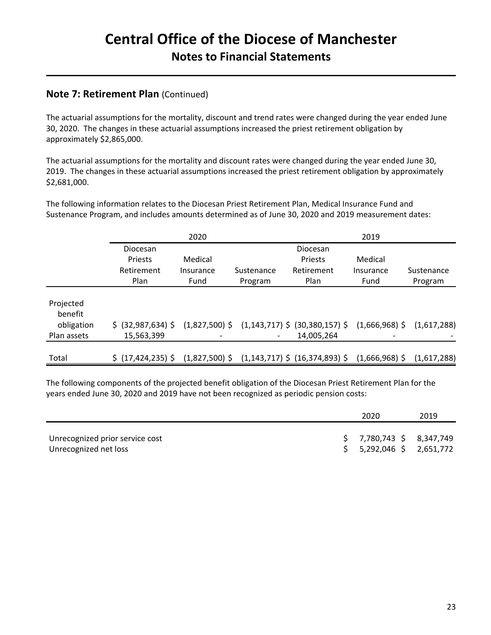### **Note 7: Retirement Plan** (Continued)

The actuarial assumptions for the mortality, discount and trend rates were changed during the year ended June 30, 2020. The changes in these actuarial assumptions increased the priest retirement obligation by approximately \$2,865,000.

The actuarial assumptions for the mortality and discount rates were changed during the year ended June 30, 2019. The changes in these actuarial assumptions increased the priest retirement obligation by approximately \$2,681,000.

The following information relates to the Diocesan Priest Retirement Plan, Medical Insurance Fund and Sustenance Program, and includes amounts determined as of June 30, 2020 and 2019 measurement dates:

|                                    |                      | 2020             |            |                                                     | 2019             |             |
|------------------------------------|----------------------|------------------|------------|-----------------------------------------------------|------------------|-------------|
|                                    | Diocesan             |                  |            | Diocesan                                            |                  |             |
|                                    | Priests              | Medical          |            | Priests                                             | Medical          |             |
|                                    | Retirement           | Insurance        | Sustenance | Retirement                                          | Insurance        | Sustenance  |
|                                    | <b>Plan</b>          | Fund             | Program    | Plan                                                | Fund             | Program     |
| Projected<br>benefit<br>obligation | $$$ (32,987,634) \$  |                  |            | $(1,827,500)$ \$ $(1,143,717)$ \$ $(30,380,157)$ \$ | $(1,666,968)$ \$ | (1,617,288) |
| Plan assets                        | 15,563,399           |                  | -          | 14,005,264                                          |                  |             |
| Total                              | \$ (17, 424, 235) \$ | $(1,827,500)$ \$ |            | $(1,143,717)$ \$ $(16,374,893)$ \$                  | $(1,666,968)$ \$ | (1,617,288) |

The following components of the projected benefit obligation of the Diocesan Priest Retirement Plan for the years ended June 30, 2020 and 2019 have not been recognized as periodic pension costs:

|                                                          | 2020                                                   | 2019 |
|----------------------------------------------------------|--------------------------------------------------------|------|
| Unrecognized prior service cost<br>Unrecognized net loss | \$ 7,780,743 \$ 8,347,749<br>$$5,292,046$ $$2,651,772$ |      |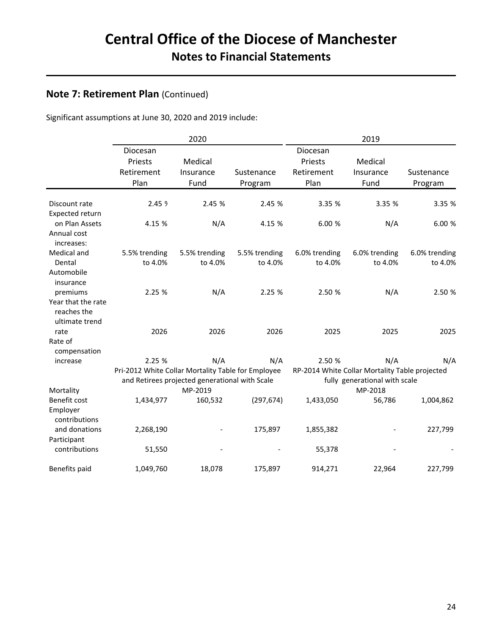### **Note 7: Retirement Plan** (Continued)

Significant assumptions at June 30, 2020 and 2019 include:

|                                                                 |                                                                                                      | 2020          |               | 2019                                                                            |               |               |
|-----------------------------------------------------------------|------------------------------------------------------------------------------------------------------|---------------|---------------|---------------------------------------------------------------------------------|---------------|---------------|
|                                                                 | Diocesan                                                                                             |               |               | Diocesan                                                                        |               |               |
|                                                                 | Priests                                                                                              | Medical       |               | Priests                                                                         | Medical       |               |
|                                                                 | Retirement                                                                                           | Insurance     | Sustenance    | Retirement                                                                      | Insurance     | Sustenance    |
|                                                                 | Plan                                                                                                 | Fund          | Program       | Plan                                                                            | Fund          | Program       |
| Discount rate<br>Expected return                                | 2.45 <sub>9</sub>                                                                                    | 2.45 %        | 2.45 %        | 3.35 %                                                                          | 3.35 %        | 3.35 %        |
| on Plan Assets<br>Annual cost<br>increases:                     | 4.15 %                                                                                               | N/A           | 4.15 %        | 6.00 %                                                                          | N/A           | 6.00 %        |
| Medical and                                                     | 5.5% trending                                                                                        | 5.5% trending | 5.5% trending | 6.0% trending                                                                   | 6.0% trending | 6.0% trending |
| Dental<br>Automobile<br>insurance                               | to 4.0%                                                                                              | to 4.0%       | to 4.0%       | to 4.0%                                                                         | to 4.0%       | to 4.0%       |
| premiums<br>Year that the rate<br>reaches the<br>ultimate trend | 2.25 %                                                                                               | N/A           | 2.25 %        | 2.50 %                                                                          | N/A           | 2.50 %        |
| rate<br>Rate of<br>compensation                                 | 2026                                                                                                 | 2026          | 2026          | 2025                                                                            | 2025          | 2025          |
| increase                                                        | 2.25 %                                                                                               | N/A           | N/A           | 2.50 %                                                                          | N/A           | N/A           |
|                                                                 | Pri-2012 White Collar Mortality Table for Employee<br>and Retirees projected generational with Scale |               |               | RP-2014 White Collar Mortality Table projected<br>fully generational with scale |               |               |
| Mortality                                                       |                                                                                                      | MP-2019       |               |                                                                                 | MP-2018       |               |
| Benefit cost<br>Employer<br>contributions                       | 1,434,977                                                                                            | 160,532       | (297, 674)    | 1,433,050                                                                       | 56,786        | 1,004,862     |
| and donations<br>Participant                                    | 2,268,190                                                                                            |               | 175,897       | 1,855,382                                                                       |               | 227,799       |
| contributions                                                   | 51,550                                                                                               |               |               | 55,378                                                                          |               |               |
| Benefits paid                                                   | 1,049,760                                                                                            | 18,078        | 175,897       | 914,271                                                                         | 22,964        | 227,799       |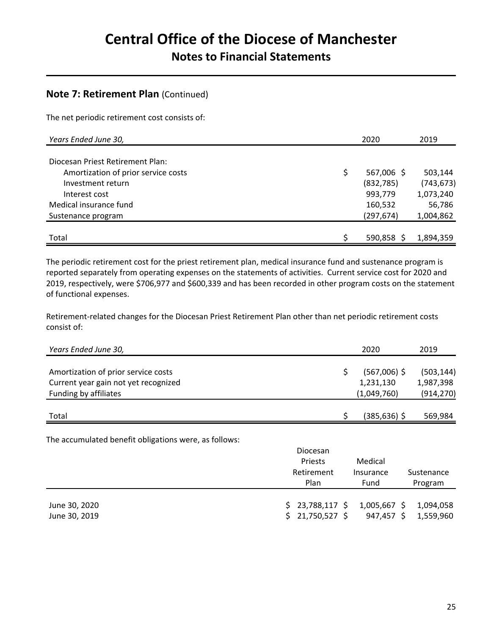### **Note 7: Retirement Plan** (Continued)

The net periodic retirement cost consists of:

| Years Ended June 30,                |    | 2020       | 2019       |
|-------------------------------------|----|------------|------------|
|                                     |    |            |            |
| Diocesan Priest Retirement Plan:    |    |            |            |
| Amortization of prior service costs | \$ | 567,006 \$ | 503,144    |
| Investment return                   |    | (832, 785) | (743, 673) |
| Interest cost                       |    | 993,779    | 1,073,240  |
| Medical insurance fund              |    | 160,532    | 56,786     |
| Sustenance program                  |    | (297, 674) | 1,004,862  |
|                                     |    |            |            |
| Total                               | S  | 590,858    | 1,894,359  |

The periodic retirement cost for the priest retirement plan, medical insurance fund and sustenance program is reported separately from operating expenses on the statements of activities. Current service cost for 2020 and 2019, respectively, were \$706,977 and \$600,339 and has been recorded in other program costs on the statement of functional expenses.

Retirement-related changes for the Diocesan Priest Retirement Plan other than net periodic retirement costs consist of:

| Years Ended June 30,                 | 2020            | 2019       |
|--------------------------------------|-----------------|------------|
|                                      |                 |            |
| Amortization of prior service costs  | $(567,006)$ \$  | (503, 144) |
| Current year gain not yet recognized | 1,231,130       | 1,987,398  |
| Funding by affiliates                | (1,049,760)     | (914, 270) |
|                                      |                 |            |
| Total                                | $(385, 636)$ \$ | 569,984    |

The accumulated benefit obligations were, as follows:

| Diocesan   |                |                                      |
|------------|----------------|--------------------------------------|
| Priests    | Medical        |                                      |
| Retirement | Insurance      | Sustenance                           |
| Plan       | Fund           | Program                              |
|            |                |                                      |
|            | $1,005,667$ \$ | 1,094,058                            |
|            | 947,457 \$     | 1,559,960                            |
|            |                | $$23,788,117$ \$<br>$$21,750,527$ \$ |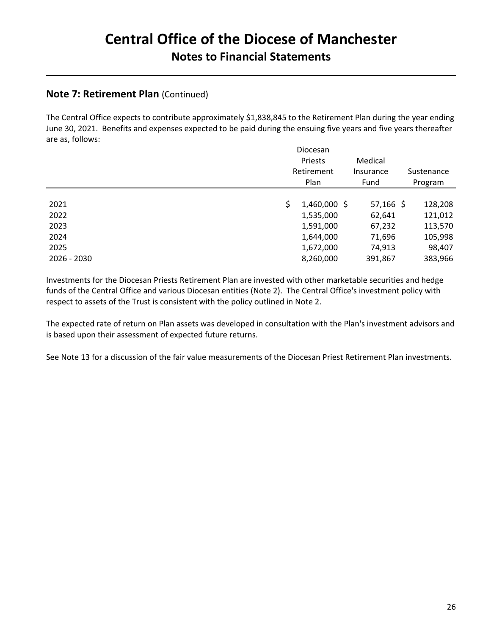### **Note 7: Retirement Plan** (Continued)

The Central Office expects to contribute approximately \$1,838,845 to the Retirement Plan during the year ending June 30, 2021. Benefits and expenses expected to be paid during the ensuing five years and five years thereafter are as, follows:

|             | Diocesan           |             |            |
|-------------|--------------------|-------------|------------|
|             | Priests            | Medical     |            |
|             | Retirement         | Insurance   | Sustenance |
|             | Plan               | Fund        | Program    |
|             |                    |             |            |
| 2021        | \$<br>1,460,000 \$ | $57,166$ \$ | 128,208    |
| 2022        | 1,535,000          | 62,641      | 121,012    |
| 2023        | 1,591,000          | 67,232      | 113,570    |
| 2024        | 1,644,000          | 71,696      | 105,998    |
| 2025        | 1,672,000          | 74,913      | 98,407     |
| 2026 - 2030 | 8,260,000          | 391,867     | 383,966    |

Investments for the Diocesan Priests Retirement Plan are invested with other marketable securities and hedge funds of the Central Office and various Diocesan entities (Note 2). The Central Office's investment policy with respect to assets of the Trust is consistent with the policy outlined in Note 2.

The expected rate of return on Plan assets was developed in consultation with the Plan's investment advisors and is based upon their assessment of expected future returns.

See Note 13 for a discussion of the fair value measurements of the Diocesan Priest Retirement Plan investments.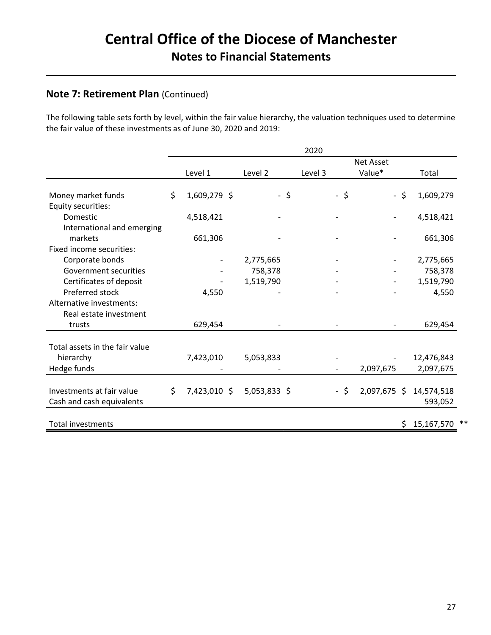### **Note 7: Retirement Plan** (Continued)

The following table sets forth by level, within the fair value hierarchy, the valuation techniques used to determine the fair value of these investments as of June 30, 2020 and 2019:

|                                                        |                    |                | 2020    |      |                  |                       |
|--------------------------------------------------------|--------------------|----------------|---------|------|------------------|-----------------------|
|                                                        |                    |                |         |      | <b>Net Asset</b> |                       |
|                                                        | Level 1            | Level 2        | Level 3 |      | Value*           | Total                 |
| Money market funds<br>Equity securities:               | \$<br>1,609,279 \$ | $-5$           |         | $-5$ | - \$             | 1,609,279             |
| Domestic<br>International and emerging                 | 4,518,421          |                |         |      |                  | 4,518,421             |
| markets<br>Fixed income securities:                    | 661,306            |                |         |      |                  | 661,306               |
| Corporate bonds                                        |                    | 2,775,665      |         |      |                  | 2,775,665             |
| Government securities                                  |                    | 758,378        |         |      |                  | 758,378               |
| Certificates of deposit                                |                    | 1,519,790      |         |      |                  | 1,519,790             |
| Preferred stock                                        | 4,550              |                |         |      |                  | 4,550                 |
| Alternative investments:<br>Real estate investment     |                    |                |         |      |                  |                       |
| trusts                                                 | 629,454            |                |         |      |                  | 629,454               |
| Total assets in the fair value                         |                    |                |         |      |                  |                       |
| hierarchy                                              | 7,423,010          | 5,053,833      |         |      |                  | 12,476,843            |
| Hedge funds                                            |                    |                |         |      | 2,097,675        | 2,097,675             |
| Investments at fair value<br>Cash and cash equivalents | \$<br>7,423,010 \$ | $5,053,833$ \$ |         | - \$ | 2,097,675 \$     | 14,574,518<br>593,052 |
| <b>Total investments</b>                               |                    |                |         |      |                  | 15,167,570<br>\$.     |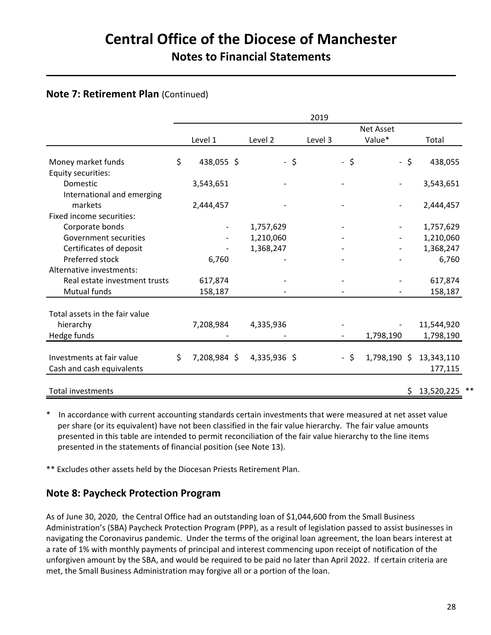### **Note 7: Retirement Plan** (Continued)

|                                |                  |              |              | 2019    |              |                     |  |  |
|--------------------------------|------------------|--------------|--------------|---------|--------------|---------------------|--|--|
|                                | <b>Net Asset</b> |              |              |         |              |                     |  |  |
|                                |                  | Level 1      | Level 2      | Level 3 | Value*       | Total               |  |  |
| Money market funds             | \$               | 438,055 \$   | - \$         | - \$    | $-5$         | 438,055             |  |  |
| Equity securities:             |                  |              |              |         |              |                     |  |  |
| Domestic                       |                  | 3,543,651    |              |         |              | 3,543,651           |  |  |
| International and emerging     |                  |              |              |         |              |                     |  |  |
| markets                        |                  | 2,444,457    |              |         |              | 2,444,457           |  |  |
| Fixed income securities:       |                  |              |              |         |              |                     |  |  |
| Corporate bonds                |                  |              | 1,757,629    |         |              | 1,757,629           |  |  |
| Government securities          |                  |              | 1,210,060    |         |              | 1,210,060           |  |  |
| Certificates of deposit        |                  |              | 1,368,247    |         |              | 1,368,247           |  |  |
| Preferred stock                |                  | 6,760        |              |         |              | 6,760               |  |  |
| Alternative investments:       |                  |              |              |         |              |                     |  |  |
| Real estate investment trusts  |                  | 617,874      |              |         |              | 617,874             |  |  |
| Mutual funds                   |                  | 158,187      |              |         |              | 158,187             |  |  |
| Total assets in the fair value |                  |              |              |         |              |                     |  |  |
| hierarchy                      |                  | 7,208,984    | 4,335,936    |         |              | 11,544,920          |  |  |
| Hedge funds                    |                  |              |              |         | 1,798,190    | 1,798,190           |  |  |
|                                |                  |              |              |         |              |                     |  |  |
| Investments at fair value      | \$               | 7,208,984 \$ | 4,335,936 \$ | - \$    | 1,798,190 \$ | 13,343,110          |  |  |
| Cash and cash equivalents      |                  |              |              |         |              | 177,115             |  |  |
| <b>Total investments</b>       |                  |              |              |         | \$           | 13,520,225<br>$***$ |  |  |
|                                |                  |              |              |         |              |                     |  |  |

\* In accordance with current accounting standards certain investments that were measured at net asset value per share (or its equivalent) have not been classified in the fair value hierarchy. The fair value amounts presented in this table are intended to permit reconciliation of the fair value hierarchy to the line items presented in the statements of financial position (see Note 13).

\*\* Excludes other assets held by the Diocesan Priests Retirement Plan.

### **Note 8: Paycheck Protection Program**

As of June 30, 2020, the Central Office had an outstanding loan of \$1,044,600 from the Small Business Administration's (SBA) Paycheck Protection Program (PPP), as a result of legislation passed to assist businesses in navigating the Coronavirus pandemic. Under the terms of the original loan agreement, the loan bears interest at a rate of 1% with monthly payments of principal and interest commencing upon receipt of notification of the unforgiven amount by the SBA, and would be required to be paid no later than April 2022. If certain criteria are met, the Small Business Administration may forgive all or a portion of the loan.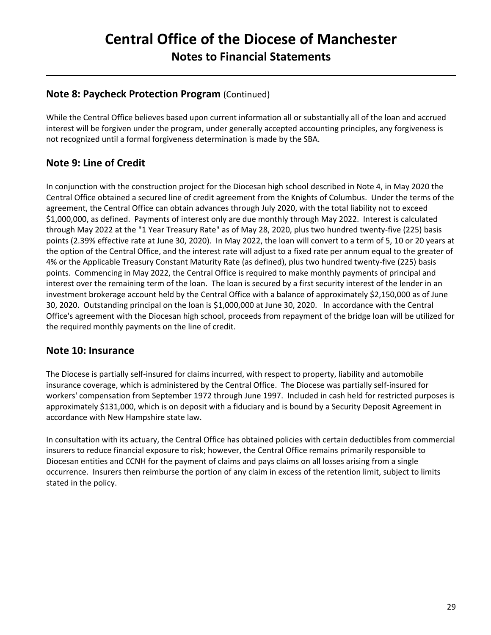### **Note 8: Paycheck Protection Program** (Continued)

While the Central Office believes based upon current information all or substantially all of the loan and accrued interest will be forgiven under the program, under generally accepted accounting principles, any forgiveness is not recognized until a formal forgiveness determination is made by the SBA.

### **Note 9: Line of Credit**

In conjunction with the construction project for the Diocesan high school described in Note 4, in May 2020 the Central Office obtained a secured line of credit agreement from the Knights of Columbus. Under the terms of the agreement, the Central Office can obtain advances through July 2020, with the total liability not to exceed \$1,000,000, as defined. Payments of interest only are due monthly through May 2022. Interest is calculated through May 2022 at the "1 Year Treasury Rate" as of May 28, 2020, plus two hundred twenty-five (225) basis points (2.39% effective rate at June 30, 2020). In May 2022, the loan will convert to a term of 5, 10 or 20 years at the option of the Central Office, and the interest rate will adjust to a fixed rate per annum equal to the greater of 4% or the Applicable Treasury Constant Maturity Rate (as defined), plus two hundred twenty-five (225) basis points. Commencing in May 2022, the Central Office is required to make monthly payments of principal and interest over the remaining term of the loan. The loan is secured by a first security interest of the lender in an investment brokerage account held by the Central Office with a balance of approximately \$2,150,000 as of June 30, 2020. Outstanding principal on the loan is \$1,000,000 at June 30, 2020. In accordance with the Central Office's agreement with the Diocesan high school, proceeds from repayment of the bridge loan will be utilized for the required monthly payments on the line of credit.

### **Note 10: Insurance**

The Diocese is partially self-insured for claims incurred, with respect to property, liability and automobile insurance coverage, which is administered by the Central Office. The Diocese was partially self-insured for workers' compensation from September 1972 through June 1997. Included in cash held for restricted purposes is approximately \$131,000, which is on deposit with a fiduciary and is bound by a Security Deposit Agreement in accordance with New Hampshire state law.

In consultation with its actuary, the Central Office has obtained policies with certain deductibles from commercial insurers to reduce financial exposure to risk; however, the Central Office remains primarily responsible to Diocesan entities and CCNH for the payment of claims and pays claims on all losses arising from a single occurrence. Insurers then reimburse the portion of any claim in excess of the retention limit, subject to limits stated in the policy.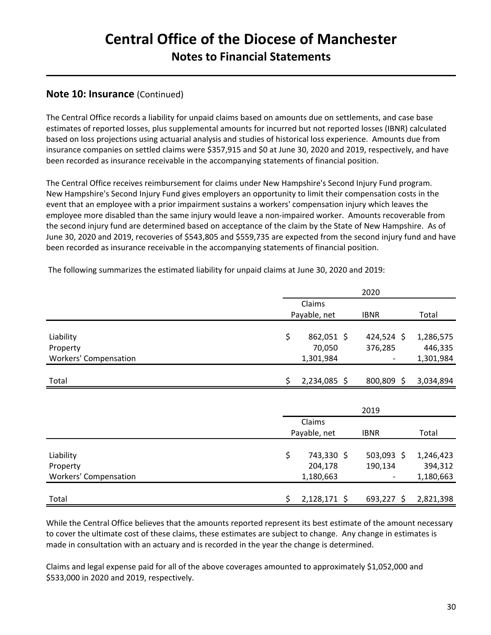### **Note 10: Insurance** (Continued)

The Central Office records a liability for unpaid claims based on amounts due on settlements, and case base estimates of reported losses, plus supplemental amounts for incurred but not reported losses (IBNR) calculated based on loss projections using actuarial analysis and studies of historical loss experience. Amounts due from insurance companies on settled claims were \$357,915 and \$0 at June 30, 2020 and 2019, respectively, and have been recorded as insurance receivable in the accompanying statements of financial position.

The Central Office receives reimbursement for claims under New Hampshire's Second Injury Fund program. New Hampshire's Second Injury Fund gives employers an opportunity to limit their compensation costs in the event that an employee with a prior impairment sustains a workers' compensation injury which leaves the employee more disabled than the same injury would leave a non-impaired worker. Amounts recoverable from the second injury fund are determined based on acceptance of the claim by the State of New Hampshire. As of June 30, 2020 and 2019, recoveries of \$543,805 and \$559,735 are expected from the second injury fund and have been recorded as insurance receivable in the accompanying statements of financial position.

|                              |                    | 2020        |           |
|------------------------------|--------------------|-------------|-----------|
|                              | Claims             |             |           |
|                              | Payable, net       | <b>IBNR</b> | Total     |
|                              |                    |             |           |
| Liability                    | \$<br>862,051 \$   | 424,524 \$  | 1,286,575 |
| Property                     | 70,050             | 376,285     | 446,335   |
| <b>Workers' Compensation</b> | 1,301,984          |             | 1,301,984 |
|                              |                    |             |           |
| Total                        | \$<br>2,234,085 \$ | 800,809 \$  | 3,034,894 |
|                              |                    |             |           |
|                              |                    | 2019        |           |
|                              | Claims             |             |           |
|                              | Payable, net       | <b>IBNR</b> | Total     |
|                              |                    |             |           |
| Liability                    | \$<br>743,330 \$   | 503,093 \$  | 1,246,423 |
| Property                     | 204,178            | 190,134     | 394,312   |
| <b>Workers' Compensation</b> | 1,180,663          |             | 1,180,663 |
|                              |                    |             |           |
| Total                        | \$<br>2,128,171 \$ | 693,227 \$  | 2,821,398 |

The following summarizes the estimated liability for unpaid claims at June 30, 2020 and 2019:

While the Central Office believes that the amounts reported represent its best estimate of the amount necessary to cover the ultimate cost of these claims, these estimates are subject to change. Any change in estimates is made in consultation with an actuary and is recorded in the year the change is determined.

Claims and legal expense paid for all of the above coverages amounted to approximately \$1,052,000 and \$533,000 in 2020 and 2019, respectively.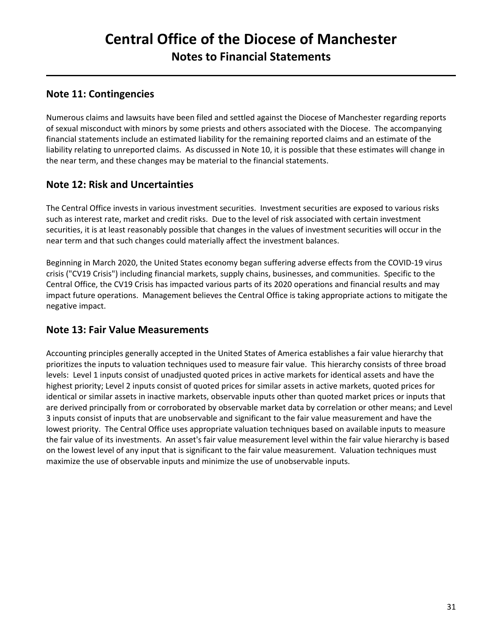### **Note 11: Contingencies**

Numerous claims and lawsuits have been filed and settled against the Diocese of Manchester regarding reports of sexual misconduct with minors by some priests and others associated with the Diocese. The accompanying financial statements include an estimated liability for the remaining reported claims and an estimate of the liability relating to unreported claims. As discussed in Note 10, it is possible that these estimates will change in the near term, and these changes may be material to the financial statements.

### **Note 12: Risk and Uncertainties**

The Central Office invests in various investment securities. Investment securities are exposed to various risks such as interest rate, market and credit risks. Due to the level of risk associated with certain investment securities, it is at least reasonably possible that changes in the values of investment securities will occur in the near term and that such changes could materially affect the investment balances.

Beginning in March 2020, the United States economy began suffering adverse effects from the COVID-19 virus crisis ("CV19 Crisis") including financial markets, supply chains, businesses, and communities. Specific to the Central Office, the CV19 Crisis has impacted various parts of its 2020 operations and financial results and may impact future operations. Management believes the Central Office is taking appropriate actions to mitigate the negative impact.

### **Note 13: Fair Value Measurements**

Accounting principles generally accepted in the United States of America establishes a fair value hierarchy that prioritizes the inputs to valuation techniques used to measure fair value. This hierarchy consists of three broad levels: Level 1 inputs consist of unadjusted quoted prices in active markets for identical assets and have the highest priority; Level 2 inputs consist of quoted prices for similar assets in active markets, quoted prices for identical or similar assets in inactive markets, observable inputs other than quoted market prices or inputs that are derived principally from or corroborated by observable market data by correlation or other means; and Level 3 inputs consist of inputs that are unobservable and significant to the fair value measurement and have the lowest priority. The Central Office uses appropriate valuation techniques based on available inputs to measure the fair value of its investments. An asset's fair value measurement level within the fair value hierarchy is based on the lowest level of any input that is significant to the fair value measurement. Valuation techniques must maximize the use of observable inputs and minimize the use of unobservable inputs.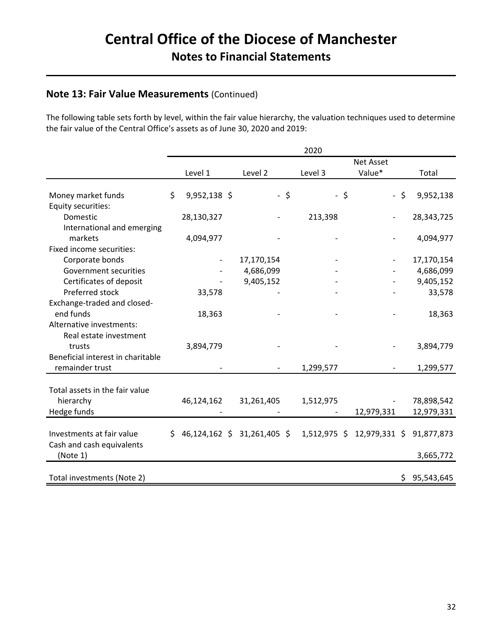### **Note 13: Fair Value Measurements** (Continued)

The following table sets forth by level, within the fair value hierarchy, the valuation techniques used to determine the fair value of the Central Office's assets as of June 30, 2020 and 2019:

|                                   |     |                             |  |            |  | 2020           |            |                          |                          |
|-----------------------------------|-----|-----------------------------|--|------------|--|----------------|------------|--------------------------|--------------------------|
|                                   |     | <b>Net Asset</b>            |  |            |  |                |            |                          |                          |
|                                   |     | Level 1                     |  | Level 2    |  | Level 3        | Value*     |                          | Total                    |
| Money market funds                | \$  | 9,952,138 \$                |  | - \$       |  | $-5$           |            | - \$                     | 9,952,138                |
| Equity securities:                |     |                             |  |            |  |                |            |                          |                          |
| Domestic                          |     | 28,130,327                  |  |            |  | 213,398        |            |                          | 28,343,725               |
| International and emerging        |     |                             |  |            |  |                |            |                          |                          |
| markets                           |     | 4,094,977                   |  |            |  |                |            | $\overline{\phantom{a}}$ | 4,094,977                |
| Fixed income securities:          |     |                             |  |            |  |                |            |                          |                          |
| Corporate bonds                   |     |                             |  | 17,170,154 |  |                |            |                          | 17,170,154               |
| Government securities             |     |                             |  | 4,686,099  |  |                |            |                          | 4,686,099                |
| Certificates of deposit           |     |                             |  | 9,405,152  |  |                |            |                          | 9,405,152                |
| Preferred stock                   |     | 33,578                      |  |            |  |                |            |                          | 33,578                   |
| Exchange-traded and closed-       |     |                             |  |            |  |                |            |                          |                          |
| end funds                         |     | 18,363                      |  |            |  |                |            |                          | 18,363                   |
| Alternative investments:          |     |                             |  |            |  |                |            |                          |                          |
| Real estate investment            |     |                             |  |            |  |                |            |                          |                          |
| trusts                            |     | 3,894,779                   |  |            |  |                |            |                          | 3,894,779                |
| Beneficial interest in charitable |     |                             |  |            |  |                |            |                          |                          |
| remainder trust                   |     |                             |  |            |  | 1,299,577      |            |                          | 1,299,577                |
|                                   |     |                             |  |            |  |                |            |                          |                          |
| Total assets in the fair value    |     |                             |  |            |  |                |            |                          |                          |
| hierarchy                         |     | 46,124,162                  |  | 31,261,405 |  | 1,512,975      |            |                          | 78,898,542               |
| Hedge funds                       |     |                             |  |            |  |                | 12,979,331 |                          | 12,979,331               |
|                                   |     |                             |  |            |  |                |            |                          |                          |
| Investments at fair value         | \$. | 46,124,162 \$ 31,261,405 \$ |  |            |  | $1,512,975$ \$ |            |                          | 12,979,331 \$ 91,877,873 |
| Cash and cash equivalents         |     |                             |  |            |  |                |            |                          |                          |
| (Note 1)                          |     |                             |  |            |  |                |            |                          | 3,665,772                |
|                                   |     |                             |  |            |  |                |            |                          |                          |
| Total investments (Note 2)        |     |                             |  |            |  |                |            |                          | \$95,543,645             |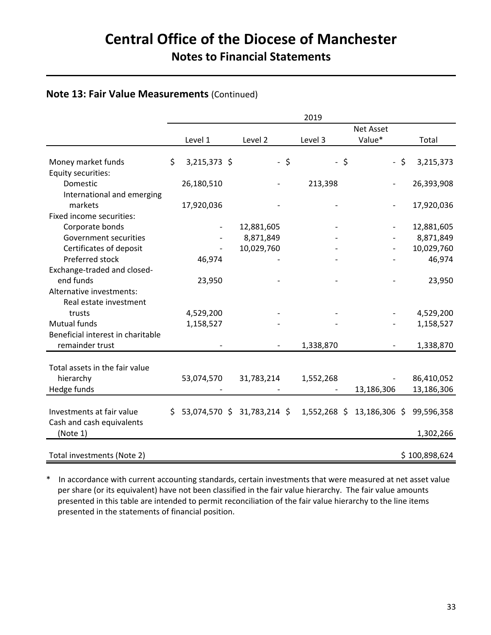### **Note 13: Fair Value Measurements** (Continued)

|                                   |                    |                              | 2019           |                                                 |               |
|-----------------------------------|--------------------|------------------------------|----------------|-------------------------------------------------|---------------|
|                                   | <b>Net Asset</b>   |                              |                |                                                 |               |
|                                   | Level 1            | Level 2                      | Level 3        | Value*                                          | Total         |
| Money market funds                | \$<br>3,215,373 \$ | $-5$                         | $-5$           | $\ddot{\mathsf{S}}$<br>$\overline{\phantom{a}}$ | 3,215,373     |
| Equity securities:                |                    |                              |                |                                                 |               |
| Domestic                          | 26,180,510         |                              | 213,398        |                                                 | 26,393,908    |
| International and emerging        |                    |                              |                |                                                 |               |
| markets                           | 17,920,036         |                              |                | $\overline{\phantom{a}}$                        | 17,920,036    |
| Fixed income securities:          |                    |                              |                |                                                 |               |
| Corporate bonds                   |                    | 12,881,605                   |                |                                                 | 12,881,605    |
| Government securities             |                    | 8,871,849                    |                |                                                 | 8,871,849     |
| Certificates of deposit           |                    | 10,029,760                   |                |                                                 | 10,029,760    |
| Preferred stock                   | 46,974             |                              |                |                                                 | 46,974        |
| Exchange-traded and closed-       |                    |                              |                |                                                 |               |
| end funds                         | 23,950             |                              |                |                                                 | 23,950        |
| Alternative investments:          |                    |                              |                |                                                 |               |
| Real estate investment            |                    |                              |                |                                                 |               |
| trusts                            | 4,529,200          |                              |                |                                                 | 4,529,200     |
| Mutual funds                      | 1,158,527          |                              |                |                                                 | 1,158,527     |
| Beneficial interest in charitable |                    |                              |                |                                                 |               |
| remainder trust                   |                    |                              | 1,338,870      |                                                 | 1,338,870     |
|                                   |                    |                              |                |                                                 |               |
| Total assets in the fair value    |                    |                              |                |                                                 |               |
| hierarchy                         | 53,074,570         | 31,783,214                   | 1,552,268      |                                                 | 86,410,052    |
| Hedge funds                       |                    |                              |                | 13,186,306                                      | 13,186,306    |
|                                   |                    |                              |                |                                                 |               |
| Investments at fair value         |                    | \$53,074,570 \$31,783,214 \$ | $1,552,268$ \$ | 13,186,306 \$                                   | 99,596,358    |
| Cash and cash equivalents         |                    |                              |                |                                                 |               |
| (Note 1)                          |                    |                              |                |                                                 | 1,302,266     |
|                                   |                    |                              |                |                                                 |               |
| Total investments (Note 2)        |                    |                              |                |                                                 | \$100,898,624 |

\* In accordance with current accounting standards, certain investments that were measured at net asset value per share (or its equivalent) have not been classified in the fair value hierarchy. The fair value amounts presented in this table are intended to permit reconciliation of the fair value hierarchy to the line items presented in the statements of financial position.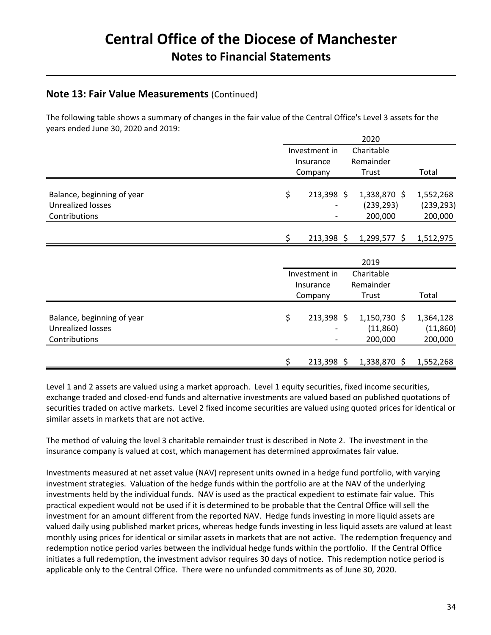### **Note 13: Fair Value Measurements** (Continued)

The following table shows a summary of changes in the fair value of the Central Office's Level 3 assets for the years ended June 30, 2020 and 2019:

|                            | 2020                        |               |                |            |
|----------------------------|-----------------------------|---------------|----------------|------------|
|                            | Charitable<br>Investment in |               |                |            |
|                            |                             | Insurance     | Remainder      |            |
|                            |                             | Company       | Trust          | Total      |
|                            |                             |               |                |            |
| Balance, beginning of year | \$                          | 213,398 \$    | 1,338,870 \$   | 1,552,268  |
| Unrealized losses          |                             |               | (239, 293)     | (239, 293) |
| Contributions              |                             |               | 200,000        | 200,000    |
|                            |                             |               |                |            |
|                            | \$.                         | $213,398$ \$  | $1,299,577$ \$ | 1,512,975  |
|                            |                             |               |                |            |
|                            |                             |               | 2019           |            |
|                            |                             | Investment in | Charitable     |            |
|                            |                             | Insurance     | Remainder      |            |
|                            |                             | Company       | Trust          | Total      |
|                            |                             |               |                |            |
| Balance, beginning of year | \$                          | 213,398 \$    | $1,150,730$ \$ | 1,364,128  |
| <b>Unrealized losses</b>   |                             |               | (11,860)       | (11,860)   |
| Contributions              |                             |               | 200,000        | 200,000    |
|                            |                             |               |                |            |
|                            |                             |               |                |            |

Level 1 and 2 assets are valued using a market approach. Level 1 equity securities, fixed income securities, exchange traded and closed-end funds and alternative investments are valued based on published quotations of securities traded on active markets. Level 2 fixed income securities are valued using quoted prices for identical or similar assets in markets that are not active.

The method of valuing the level 3 charitable remainder trust is described in Note 2. The investment in the insurance company is valued at cost, which management has determined approximates fair value.

Investments measured at net asset value (NAV) represent units owned in a hedge fund portfolio, with varying investment strategies. Valuation of the hedge funds within the portfolio are at the NAV of the underlying investments held by the individual funds. NAV is used as the practical expedient to estimate fair value. This practical expedient would not be used if it is determined to be probable that the Central Office will sell the investment for an amount different from the reported NAV. Hedge funds investing in more liquid assets are valued daily using published market prices, whereas hedge funds investing in less liquid assets are valued at least monthly using prices for identical or similar assets in markets that are not active. The redemption frequency and redemption notice period varies between the individual hedge funds within the portfolio. If the Central Office initiates a full redemption, the investment advisor requires 30 days of notice. This redemption notice period is applicable only to the Central Office. There were no unfunded commitments as of June 30, 2020.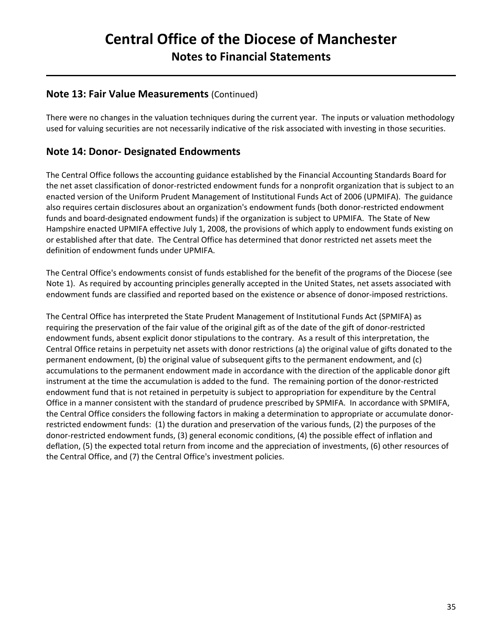### **Note 13: Fair Value Measurements** (Continued)

There were no changes in the valuation techniques during the current year. The inputs or valuation methodology used for valuing securities are not necessarily indicative of the risk associated with investing in those securities.

### **Note 14: Donor- Designated Endowments**

The Central Office follows the accounting guidance established by the Financial Accounting Standards Board for the net asset classification of donor-restricted endowment funds for a nonprofit organization that is subject to an enacted version of the Uniform Prudent Management of Institutional Funds Act of 2006 (UPMIFA). The guidance also requires certain disclosures about an organization's endowment funds (both donor-restricted endowment funds and board-designated endowment funds) if the organization is subject to UPMIFA. The State of New Hampshire enacted UPMIFA effective July 1, 2008, the provisions of which apply to endowment funds existing on or established after that date. The Central Office has determined that donor restricted net assets meet the definition of endowment funds under UPMIFA.

The Central Office's endowments consist of funds established for the benefit of the programs of the Diocese (see Note 1). As required by accounting principles generally accepted in the United States, net assets associated with endowment funds are classified and reported based on the existence or absence of donor-imposed restrictions.

The Central Office has interpreted the State Prudent Management of Institutional Funds Act (SPMIFA) as requiring the preservation of the fair value of the original gift as of the date of the gift of donor-restricted endowment funds, absent explicit donor stipulations to the contrary. As a result of this interpretation, the Central Office retains in perpetuity net assets with donor restrictions (a) the original value of gifts donated to the permanent endowment, (b) the original value of subsequent gifts to the permanent endowment, and (c) accumulations to the permanent endowment made in accordance with the direction of the applicable donor gift instrument at the time the accumulation is added to the fund. The remaining portion of the donor-restricted endowment fund that is not retained in perpetuity is subject to appropriation for expenditure by the Central Office in a manner consistent with the standard of prudence prescribed by SPMIFA. In accordance with SPMIFA, the Central Office considers the following factors in making a determination to appropriate or accumulate donorrestricted endowment funds: (1) the duration and preservation of the various funds, (2) the purposes of the donor-restricted endowment funds, (3) general economic conditions, (4) the possible effect of inflation and deflation, (5) the expected total return from income and the appreciation of investments, (6) other resources of the Central Office, and (7) the Central Office's investment policies.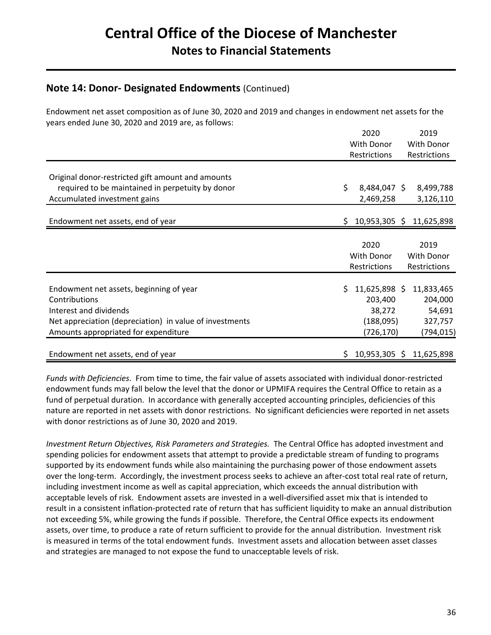### **Note 14: Donor- Designated Endowments** (Continued)

Endowment net asset composition as of June 30, 2020 and 2019 and changes in endowment net assets for the years ended June 30, 2020 and 2019 are, as follows:

|                                                         | 2020                  | 2019         |
|---------------------------------------------------------|-----------------------|--------------|
|                                                         | With Donor            | With Donor   |
|                                                         | Restrictions          | Restrictions |
|                                                         |                       |              |
| Original donor-restricted gift amount and amounts       |                       |              |
| required to be maintained in perpetuity by donor        | \$<br>8,484,047 \$    | 8,499,788    |
| Accumulated investment gains                            | 2,469,258             | 3,126,110    |
|                                                         |                       |              |
| Endowment net assets, end of year                       | 10,953,305 \$<br>S    | 11,625,898   |
|                                                         |                       |              |
|                                                         | 2020                  | 2019         |
|                                                         | With Donor            | With Donor   |
|                                                         | Restrictions          | Restrictions |
|                                                         |                       |              |
| Endowment net assets, beginning of year                 | 11,625,898 \$<br>S    | 11,833,465   |
| Contributions                                           | 203,400               | 204,000      |
| Interest and dividends                                  | 38,272                | 54,691       |
| Net appreciation (depreciation) in value of investments | (188,095)             | 327,757      |
| Amounts appropriated for expenditure                    | (726, 170)            | (794,015)    |
|                                                         |                       |              |
| Endowment net assets, end of year                       | $10,953,305$ \$<br>\$ | 11,625,898   |

*Funds with Deficiencies*. From time to time, the fair value of assets associated with individual donor-restricted endowment funds may fall below the level that the donor or UPMIFA requires the Central Office to retain as a fund of perpetual duration. In accordance with generally accepted accounting principles, deficiencies of this nature are reported in net assets with donor restrictions. No significant deficiencies were reported in net assets with donor restrictions as of June 30, 2020 and 2019.

*Investment Return Objectives, Risk Parameters and Strategies.* The Central Office has adopted investment and spending policies for endowment assets that attempt to provide a predictable stream of funding to programs supported by its endowment funds while also maintaining the purchasing power of those endowment assets over the long-term. Accordingly, the investment process seeks to achieve an after-cost total real rate of return, including investment income as well as capital appreciation, which exceeds the annual distribution with acceptable levels of risk. Endowment assets are invested in a well-diversified asset mix that is intended to result in a consistent inflation-protected rate of return that has sufficient liquidity to make an annual distribution not exceeding 5%, while growing the funds if possible. Therefore, the Central Office expects its endowment assets, over time, to produce a rate of return sufficient to provide for the annual distribution. Investment risk is measured in terms of the total endowment funds. Investment assets and allocation between asset classes and strategies are managed to not expose the fund to unacceptable levels of risk.